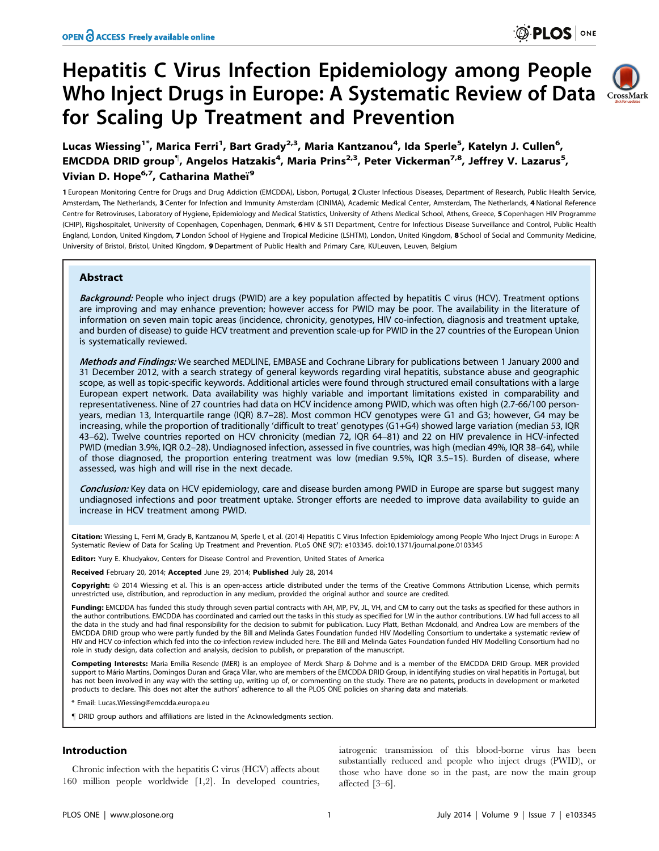# Hepatitis C Virus Infection Epidemiology among People Who Inject Drugs in Europe: A Systematic Review of Data CrossMark for Scaling Up Treatment and Prevention



Lucas Wiessing<sup>1\*</sup>, Marica Ferri<sup>1</sup>, Bart Grady<sup>2,3</sup>, Maria Kantzanou<sup>4</sup>, Ida Sperle<sup>5</sup>, Katelyn J. Cullen<sup>6</sup>, EMCDDA DRID group<sup>¶</sup>, Angelos Hatzakis<sup>4</sup>, Maria Prins<sup>2,3</sup>, Peter Vickerman<sup>7,8</sup>, Jeffrey V. Lazarus<sup>5</sup>, Vivian D. Hope<sup>6,7</sup>, Catharina Matheï<sup>9</sup>

1 European Monitoring Centre for Drugs and Drug Addiction (EMCDDA), Lisbon, Portugal, 2 Cluster Infectious Diseases, Department of Research, Public Health Service, Amsterdam, The Netherlands, 3 Center for Infection and Immunity Amsterdam (CINIMA), Academic Medical Center, Amsterdam, The Netherlands, 4 National Reference Centre for Retroviruses, Laboratory of Hygiene, Epidemiology and Medical Statistics, University of Athens Medical School, Athens, Greece, 5 Copenhagen HIV Programme (CHIP), Rigshospitalet, University of Copenhagen, Copenhagen, Denmark, 6 HIV & STI Department, Centre for Infectious Disease Surveillance and Control, Public Health England, London, United Kingdom, 7 London School of Hygiene and Tropical Medicine (LSHTM), London, United Kingdom, 8 School of Social and Community Medicine, University of Bristol, Bristol, United Kingdom, 9 Department of Public Health and Primary Care, KULeuven, Leuven, Belgium

# Abstract

Background: People who inject drugs (PWID) are a key population affected by hepatitis C virus (HCV). Treatment options are improving and may enhance prevention; however access for PWID may be poor. The availability in the literature of information on seven main topic areas (incidence, chronicity, genotypes, HIV co-infection, diagnosis and treatment uptake, and burden of disease) to guide HCV treatment and prevention scale-up for PWID in the 27 countries of the European Union is systematically reviewed.

Methods and Findings: We searched MEDLINE, EMBASE and Cochrane Library for publications between 1 January 2000 and 31 December 2012, with a search strategy of general keywords regarding viral hepatitis, substance abuse and geographic scope, as well as topic-specific keywords. Additional articles were found through structured email consultations with a large European expert network. Data availability was highly variable and important limitations existed in comparability and representativeness. Nine of 27 countries had data on HCV incidence among PWID, which was often high (2.7-66/100 personyears, median 13, Interquartile range (IQR) 8.7–28). Most common HCV genotypes were G1 and G3; however, G4 may be increasing, while the proportion of traditionally 'difficult to treat' genotypes (G1+G4) showed large variation (median 53, IQR 43–62). Twelve countries reported on HCV chronicity (median 72, IQR 64–81) and 22 on HIV prevalence in HCV-infected PWID (median 3.9%, IQR 0.2–28). Undiagnosed infection, assessed in five countries, was high (median 49%, IQR 38–64), while of those diagnosed, the proportion entering treatment was low (median 9.5%, IQR 3.5–15). Burden of disease, where assessed, was high and will rise in the next decade.

Conclusion: Key data on HCV epidemiology, care and disease burden among PWID in Europe are sparse but suggest many undiagnosed infections and poor treatment uptake. Stronger efforts are needed to improve data availability to guide an increase in HCV treatment among PWID.

Citation: Wiessing L, Ferri M, Grady B, Kantzanou M, Sperle I, et al. (2014) Hepatitis C Virus Infection Epidemiology among People Who Inject Drugs in Europe: A Systematic Review of Data for Scaling Up Treatment and Prevention. PLoS ONE 9(7): e103345. doi:10.1371/journal.pone.0103345

Editor: Yury E. Khudyakov, Centers for Disease Control and Prevention, United States of America

Received February 20, 2014; Accepted June 29, 2014; Published July 28, 2014

Copyright: © 2014 Wiessing et al. This is an open-access article distributed under the terms of the [Creative Commons Attribution License,](http://creativecommons.org/licenses/by/4.0/) which permits unrestricted use, distribution, and reproduction in any medium, provided the original author and source are credited.

Funding: EMCDDA has funded this study through seven partial contracts with AH, MP, PV, JL, VH, and CM to carry out the tasks as specified for these authors in the author contributions. EMCDDA has coordinated and carried out the tasks in this study as specified for LW in the author contributions. LW had full access to all the data in the study and had final responsibility for the decision to submit for publication. Lucy Platt, Bethan Mcdonald, and Andrea Low are members of the EMCDDA DRID group who were partly funded by the Bill and Melinda Gates Foundation funded HIV Modelling Consortium to undertake a systematic review of HIV and HCV co-infection which fed into the co-infection review included here. The Bill and Melinda Gates Foundation funded HIV Modelling Consortium had no role in study design, data collection and analysis, decision to publish, or preparation of the manuscript.

Competing Interests: Maria Emília Resende (MER) is an employee of Merck Sharp & Dohme and is a member of the EMCDDA DRID Group. MER provided support to Mário Martins, Domingos Duran and Graça Vilar, who are members of the EMCDDA DRID Group, in identifying studies on viral hepatitis in Portugal, but has not been involved in any way with the setting up, writing up of, or commenting on the study. There are no patents, products in development or marketed products to declare. This does not alter the authors' adherence to all the PLOS ONE policies on sharing data and materials.

\* Email: Lucas.Wiessing@emcdda.europa.eu

" DRID group authors and affiliations are listed in the Acknowledgments section.

# Introduction

Chronic infection with the hepatitis C virus (HCV) affects about 160 million people worldwide [1,2]. In developed countries,

iatrogenic transmission of this blood-borne virus has been substantially reduced and people who inject drugs (PWID), or those who have done so in the past, are now the main group affected [3–6].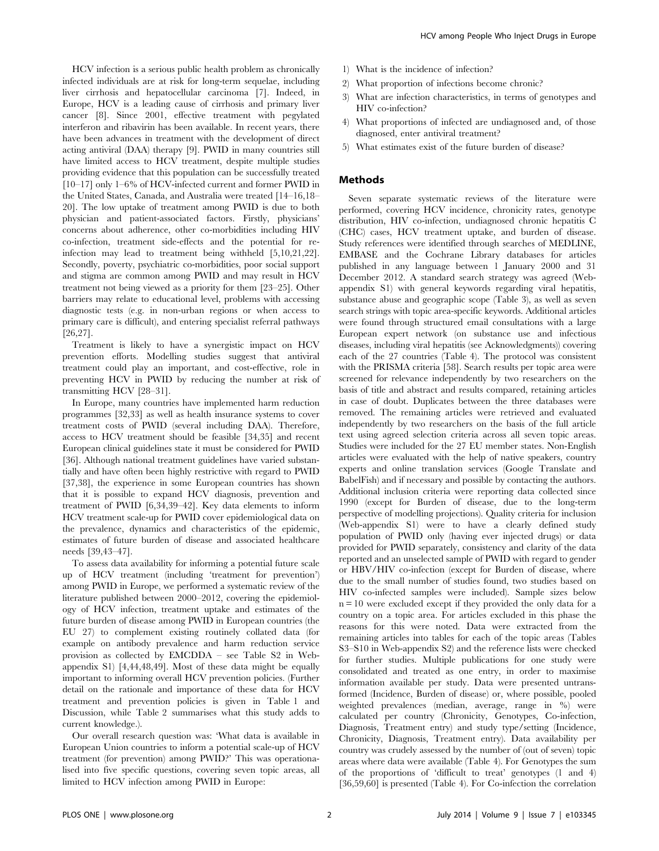HCV infection is a serious public health problem as chronically infected individuals are at risk for long-term sequelae, including liver cirrhosis and hepatocellular carcinoma [7]. Indeed, in Europe, HCV is a leading cause of cirrhosis and primary liver cancer [8]. Since 2001, effective treatment with pegylated interferon and ribavirin has been available. In recent years, there have been advances in treatment with the development of direct acting antiviral (DAA) therapy [9]. PWID in many countries still have limited access to HCV treatment, despite multiple studies providing evidence that this population can be successfully treated [10–17] only 1–6% of HCV-infected current and former PWID in the United States, Canada, and Australia were treated [14–16,18– 20]. The low uptake of treatment among PWID is due to both physician and patient-associated factors. Firstly, physicians' concerns about adherence, other co-morbidities including HIV co-infection, treatment side-effects and the potential for reinfection may lead to treatment being withheld [5,10,21,22]. Secondly, poverty, psychiatric co-morbidities, poor social support and stigma are common among PWID and may result in HCV treatment not being viewed as a priority for them [23–25]. Other barriers may relate to educational level, problems with accessing diagnostic tests (e.g. in non-urban regions or when access to primary care is difficult), and entering specialist referral pathways [26,27].

Treatment is likely to have a synergistic impact on HCV prevention efforts. Modelling studies suggest that antiviral treatment could play an important, and cost-effective, role in preventing HCV in PWID by reducing the number at risk of transmitting HCV [28–31].

In Europe, many countries have implemented harm reduction programmes [32,33] as well as health insurance systems to cover treatment costs of PWID (several including DAA). Therefore, access to HCV treatment should be feasible [34,35] and recent European clinical guidelines state it must be considered for PWID [36]. Although national treatment guidelines have varied substantially and have often been highly restrictive with regard to PWID [37,38], the experience in some European countries has shown that it is possible to expand HCV diagnosis, prevention and treatment of PWID [6,34,39–42]. Key data elements to inform HCV treatment scale-up for PWID cover epidemiological data on the prevalence, dynamics and characteristics of the epidemic, estimates of future burden of disease and associated healthcare needs [39,43–47].

To assess data availability for informing a potential future scale up of HCV treatment (including 'treatment for prevention') among PWID in Europe, we performed a systematic review of the literature published between 2000–2012, covering the epidemiology of HCV infection, treatment uptake and estimates of the future burden of disease among PWID in European countries (the EU 27) to complement existing routinely collated data (for example on antibody prevalence and harm reduction service provision as collected by EMCDDA – see Table S2 in Webappendix S1) [4,44,48,49]. Most of these data might be equally important to informing overall HCV prevention policies. (Further detail on the rationale and importance of these data for HCV treatment and prevention policies is given in Table 1 and Discussion, while Table 2 summarises what this study adds to current knowledge.).

Our overall research question was: 'What data is available in European Union countries to inform a potential scale-up of HCV treatment (for prevention) among PWID?' This was operationalised into five specific questions, covering seven topic areas, all limited to HCV infection among PWID in Europe:

- 1) What is the incidence of infection?
- 2) What proportion of infections become chronic?
- 3) What are infection characteristics, in terms of genotypes and HIV co-infection?
- 4) What proportions of infected are undiagnosed and, of those diagnosed, enter antiviral treatment?
- 5) What estimates exist of the future burden of disease?

## Methods

Seven separate systematic reviews of the literature were performed, covering HCV incidence, chronicity rates, genotype distribution, HIV co-infection, undiagnosed chronic hepatitis C (CHC) cases, HCV treatment uptake, and burden of disease. Study references were identified through searches of MEDLINE, EMBASE and the Cochrane Library databases for articles published in any language between 1 January 2000 and 31 December 2012. A standard search strategy was agreed (Webappendix S1) with general keywords regarding viral hepatitis, substance abuse and geographic scope (Table 3), as well as seven search strings with topic area-specific keywords. Additional articles were found through structured email consultations with a large European expert network (on substance use and infectious diseases, including viral hepatitis (see Acknowledgments)) covering each of the 27 countries (Table 4). The protocol was consistent with the PRISMA criteria [58]. Search results per topic area were screened for relevance independently by two researchers on the basis of title and abstract and results compared, retaining articles in case of doubt. Duplicates between the three databases were removed. The remaining articles were retrieved and evaluated independently by two researchers on the basis of the full article text using agreed selection criteria across all seven topic areas. Studies were included for the 27 EU member states. Non-English articles were evaluated with the help of native speakers, country experts and online translation services (Google Translate and BabelFish) and if necessary and possible by contacting the authors. Additional inclusion criteria were reporting data collected since 1990 (except for Burden of disease, due to the long-term perspective of modelling projections). Quality criteria for inclusion (Web-appendix S1) were to have a clearly defined study population of PWID only (having ever injected drugs) or data provided for PWID separately, consistency and clarity of the data reported and an unselected sample of PWID with regard to gender or HBV/HIV co-infection (except for Burden of disease, where due to the small number of studies found, two studies based on HIV co-infected samples were included). Sample sizes below  $n = 10$  were excluded except if they provided the only data for a country on a topic area. For articles excluded in this phase the reasons for this were noted. Data were extracted from the remaining articles into tables for each of the topic areas (Tables S3–S10 in Web-appendix S2) and the reference lists were checked for further studies. Multiple publications for one study were consolidated and treated as one entry, in order to maximise information available per study. Data were presented untransformed (Incidence, Burden of disease) or, where possible, pooled weighted prevalences (median, average, range in %) were calculated per country (Chronicity, Genotypes, Co-infection, Diagnosis, Treatment entry) and study type/setting (Incidence, Chronicity, Diagnosis, Treatment entry). Data availability per country was crudely assessed by the number of (out of seven) topic areas where data were available (Table 4). For Genotypes the sum of the proportions of 'difficult to treat' genotypes (1 and 4) [36,59,60] is presented (Table 4). For Co-infection the correlation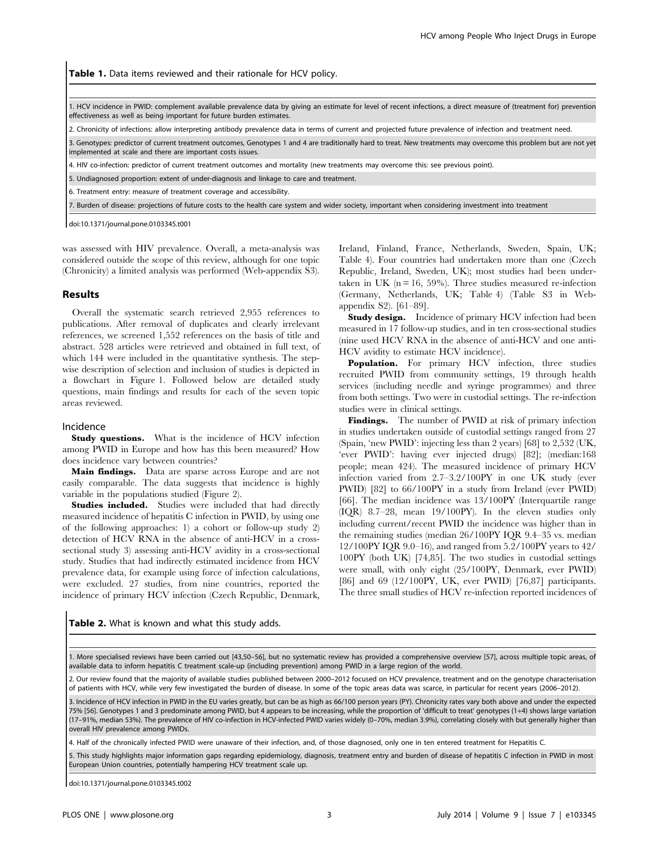Table 1. Data items reviewed and their rationale for HCV policy.

1. HCV incidence in PWID: complement available prevalence data by giving an estimate for level of recent infections, a direct measure of (treatment for) prevention effectiveness as well as being important for future burden estimates.

2. Chronicity of infections: allow interpreting antibody prevalence data in terms of current and projected future prevalence of infection and treatment need.

3. Genotypes: predictor of current treatment outcomes, Genotypes 1 and 4 are traditionally hard to treat. New treatments may overcome this problem but are not yet implemented at scale and there are important costs issues.

4. HIV co-infection: predictor of current treatment outcomes and mortality (new treatments may overcome this: see previous point).

5. Undiagnosed proportion: extent of under-diagnosis and linkage to care and treatment.

6. Treatment entry: measure of treatment coverage and accessibility.

7. Burden of disease: projections of future costs to the health care system and wider society, important when considering investment into treatment

doi:10.1371/journal.pone.0103345.t001

was assessed with HIV prevalence. Overall, a meta-analysis was considered outside the scope of this review, although for one topic (Chronicity) a limited analysis was performed (Web-appendix S3).

## Results

Overall the systematic search retrieved 2,955 references to publications. After removal of duplicates and clearly irrelevant references, we screened 1,552 references on the basis of title and abstract. 528 articles were retrieved and obtained in full text, of which 144 were included in the quantitative synthesis. The stepwise description of selection and inclusion of studies is depicted in a flowchart in Figure 1. Followed below are detailed study questions, main findings and results for each of the seven topic areas reviewed.

#### Incidence

Study questions. What is the incidence of HCV infection among PWID in Europe and how has this been measured? How does incidence vary between countries?

Main findings. Data are sparse across Europe and are not easily comparable. The data suggests that incidence is highly variable in the populations studied (Figure 2).

Studies included. Studies were included that had directly measured incidence of hepatitis C infection in PWID, by using one of the following approaches: 1) a cohort or follow-up study 2) detection of HCV RNA in the absence of anti-HCV in a crosssectional study 3) assessing anti-HCV avidity in a cross-sectional study. Studies that had indirectly estimated incidence from HCV prevalence data, for example using force of infection calculations, were excluded. 27 studies, from nine countries, reported the incidence of primary HCV infection (Czech Republic, Denmark,

Ireland, Finland, France, Netherlands, Sweden, Spain, UK; Table 4). Four countries had undertaken more than one (Czech Republic, Ireland, Sweden, UK); most studies had been undertaken in UK ( $n = 16$ , 59%). Three studies measured re-infection (Germany, Netherlands, UK; Table 4) (Table S3 in Webappendix S2). [61–89].

Study design. Incidence of primary HCV infection had been measured in 17 follow-up studies, and in ten cross-sectional studies (nine used HCV RNA in the absence of anti-HCV and one anti-HCV avidity to estimate HCV incidence).

Population. For primary HCV infection, three studies recruited PWID from community settings, 19 through health services (including needle and syringe programmes) and three from both settings. Two were in custodial settings. The re-infection studies were in clinical settings.

Findings. The number of PWID at risk of primary infection in studies undertaken outside of custodial settings ranged from 27 (Spain, 'new PWID': injecting less than 2 years) [68] to 2,532 (UK, 'ever PWID': having ever injected drugs) [82]; (median:168 people; mean 424). The measured incidence of primary HCV infection varied from 2.7–3.2/100PY in one UK study (ever PWID) [82] to 66/100PY in a study from Ireland (ever PWID) [66]. The median incidence was 13/100PY (Interquartile range (IQR) 8.7–28, mean 19/100PY). In the eleven studies only including current/recent PWID the incidence was higher than in the remaining studies (median 26/100PY IQR 9.4–35 vs. median 12/100PY IQR 9.0–16), and ranged from 5.2/100PY years to 42/ 100PY (both UK) [74,85]. The two studies in custodial settings were small, with only eight (25/100PY, Denmark, ever PWID) [86] and 69 (12/100PY, UK, ever PWID) [76,87] participants. The three small studies of HCV re-infection reported incidences of

#### Table 2. What is known and what this study adds.

1. More specialised reviews have been carried out [43,50–56], but no systematic review has provided a comprehensive overview [57], across multiple topic areas, of available data to inform hepatitis C treatment scale-up (including prevention) among PWID in a large region of the world.

2. Our review found that the majority of available studies published between 2000–2012 focused on HCV prevalence, treatment and on the genotype characterisation of patients with HCV, while very few investigated the burden of disease. In some of the topic areas data was scarce, in particular for recent years (2006–2012).

3. Incidence of HCV infection in PWID in the EU varies greatly, but can be as high as 66/100 person years (PY). Chronicity rates vary both above and under the expected 75% [56]. Genotypes 1 and 3 predominate among PWID, but 4 appears to be increasing, while the proportion of 'difficult to treat' genotypes (1+4) shows large variation (17–91%, median 53%). The prevalence of HIV co-infection in HCV-infected PWID varies widely (0–70%, median 3.9%), correlating closely with but generally higher than overall HIV prevalence among PWIDs.

4. Half of the chronically infected PWID were unaware of their infection, and, of those diagnosed, only one in ten entered treatment for Hepatitis C.

5. This study highlights major information gaps regarding epidemiology, diagnosis, treatment entry and burden of disease of hepatitis C infection in PWID in most European Union countries, potentially hampering HCV treatment scale up.

doi:10.1371/journal.pone.0103345.t002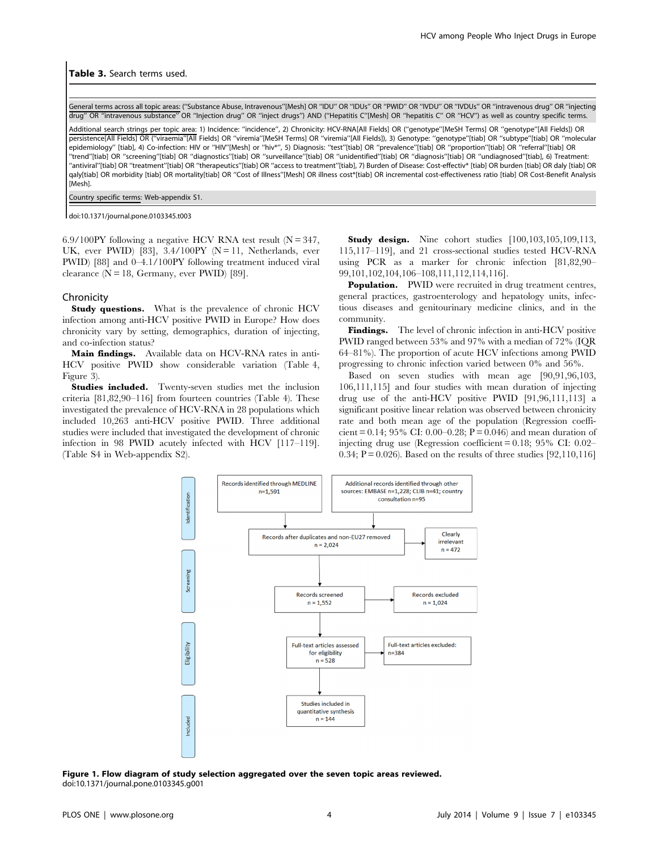General terms across all topic areas: (''Substance Abuse, Intravenous''[Mesh] OR ''IDU'' OR ''IDUs'' OR ''PWID'' OR ''IVDU'' OR ''IVDUs'' OR ''intravenous drug'' OR ''injecting drug'' OR ''intravenous substance'' OR ''Injection drug'' OR ''inject drugs'') AND (''Hepatitis C''[Mesh] OR ''hepatitis C'' OR ''HCV'') as well as country specific terms.

Additional search strings per topic area: 1) Incidence: ''incidence'', 2) Chronicity: HCV-RNA[All Fields] OR (''genotype''[MeSH Terms] OR ''genotype''[All Fields]) OR persistence[All Fields] OR (''viraemia''[All Fields] OR ''viremia''[MeSH Terms] OR ''viremia''[All Fields]), 3) Genotype: ''genotype''[tiab] OR ''subtype''[tiab] OR ''molecular epidemiology" [tiab], 4) Co-infection: HIV or "HIV"[Mesh] or "hiv\*", 5) Diagnosis: "test"[tiab] OR "prevalence"[tiab] OR "proportion"[tiab] OR "referral"[tiab] OR ''trend''[tiab] OR ''screening''[tiab] OR ''diagnostics''[tiab] OR ''surveillance''[tiab] OR ''unidentified''[tiab] OR ''diagnosis''[tiab] OR ''undiagnosed''[tiab], 6) Treatment: ''antiviral''[tiab] OR ''treatment''[tiab] OR ''therapeutics''[tiab] OR ''access to treatment''[tiab], 7) Burden of Disease: Cost-effectiv\* [tiab] OR burden [tiab] OR daly [tiab] OR qaly[tiab] OR morbidity [tiab] OR mortality[tiab] OR ''Cost of Illness''[Mesh] OR illness cost\*[tiab] OR incremental cost-effectiveness ratio [tiab] OR Cost-Benefit Analysis [Mesh].

Country specific terms: Web-appendix S1.

doi:10.1371/journal.pone.0103345.t003

6.9/100PY following a negative HCV RNA test result ( $N = 347$ , UK, ever PWID) [83],  $3.4/100$ PY (N = 11, Netherlands, ever PWID) [88] and 0–4.1/100PY following treatment induced viral clearance  $(N = 18$ , Germany, ever PWID) [89].

## Chronicity

Study questions. What is the prevalence of chronic HCV infection among anti-HCV positive PWID in Europe? How does chronicity vary by setting, demographics, duration of injecting, and co-infection status?

Main findings. Available data on HCV-RNA rates in anti-HCV positive PWID show considerable variation (Table 4, Figure 3).

Studies included. Twenty-seven studies met the inclusion criteria [81,82,90–116] from fourteen countries (Table 4). These investigated the prevalence of HCV-RNA in 28 populations which included 10,263 anti-HCV positive PWID. Three additional studies were included that investigated the development of chronic infection in 98 PWID acutely infected with HCV [117–119]. (Table S4 in Web-appendix S2).

Study design. Nine cohort studies [100,103,105,109,113, 115,117–119], and 21 cross-sectional studies tested HCV-RNA using PCR as a marker for chronic infection [81,82,90– 99,101,102,104,106–108,111,112,114,116].

Population. PWID were recruited in drug treatment centres, general practices, gastroenterology and hepatology units, infectious diseases and genitourinary medicine clinics, and in the community.

Findings. The level of chronic infection in anti-HCV positive PWID ranged between 53% and 97% with a median of 72% (IQR 64–81%). The proportion of acute HCV infections among PWID progressing to chronic infection varied between 0% and 56%.

Based on seven studies with mean age [90,91,96,103, 106,111,115] and four studies with mean duration of injecting drug use of the anti-HCV positive PWID [91,96,111,113] a significant positive linear relation was observed between chronicity rate and both mean age of the population (Regression coefficient =  $0.14$ ; 95% CI: 0.00–0.28; P = 0.046) and mean duration of injecting drug use (Regression coefficient = 0.18; 95% CI: 0.02– 0.34;  $P = 0.026$ ). Based on the results of three studies [92,110,116]



Figure 1. Flow diagram of study selection aggregated over the seven topic areas reviewed. doi:10.1371/journal.pone.0103345.g001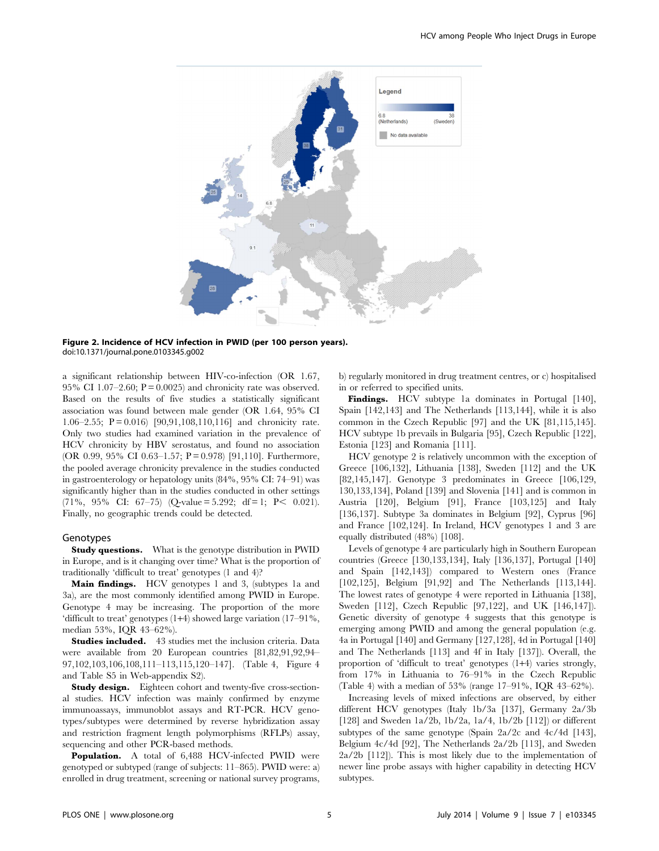

Figure 2. Incidence of HCV infection in PWID (per 100 person years). doi:10.1371/journal.pone.0103345.g002

a significant relationship between HIV-co-infection (OR 1.67, 95% CI 1.07-2.60;  $P = 0.0025$  and chronicity rate was observed. Based on the results of five studies a statistically significant association was found between male gender (OR 1.64, 95% CI 1.06–2.55; P = 0.016) [90,91,108,110,116] and chronicity rate. Only two studies had examined variation in the prevalence of HCV chronicity by HBV serostatus, and found no association (OR 0.99, 95% CI 0.63–1.57;  $P = 0.978$ ) [91,110]. Furthermore, the pooled average chronicity prevalence in the studies conducted in gastroenterology or hepatology units (84%, 95% CI: 74–91) was significantly higher than in the studies conducted in other settings  $(71\%, 95\% \text{ CI: } 67-75)$  (O-value = 5.292; df = 1; P< 0.021). Finally, no geographic trends could be detected.

## Genotypes

Study questions. What is the genotype distribution in PWID in Europe, and is it changing over time? What is the proportion of traditionally 'difficult to treat' genotypes (1 and 4)?

Main findings. HCV genotypes 1 and 3, (subtypes 1a and 3a), are the most commonly identified among PWID in Europe. Genotype 4 may be increasing. The proportion of the more 'difficult to treat' genotypes (1+4) showed large variation (17–91%, median 53%, IQR 43–62%).

Studies included. 43 studies met the inclusion criteria. Data were available from 20 European countries [81,82,91,92,94– 97,102,103,106,108,111–113,115,120–147]. (Table 4, Figure 4 and Table S5 in Web-appendix S2).

Study design. Eighteen cohort and twenty-five cross-sectional studies. HCV infection was mainly confirmed by enzyme immunoassays, immunoblot assays and RT-PCR. HCV genotypes/subtypes were determined by reverse hybridization assay and restriction fragment length polymorphisms (RFLPs) assay, sequencing and other PCR-based methods.

Population. A total of 6,488 HCV-infected PWID were genotyped or subtyped (range of subjects: 11–865). PWID were: a) enrolled in drug treatment, screening or national survey programs,

b) regularly monitored in drug treatment centres, or c) hospitalised in or referred to specified units.

Findings. HCV subtype 1a dominates in Portugal [140], Spain [142,143] and The Netherlands [113,144], while it is also common in the Czech Republic [97] and the UK [81,115,145]. HCV subtype 1b prevails in Bulgaria [95], Czech Republic [122], Estonia [123] and Romania [111].

HCV genotype 2 is relatively uncommon with the exception of Greece [106,132], Lithuania [138], Sweden [112] and the UK [82,145,147]. Genotype 3 predominates in Greece [106,129, 130,133,134], Poland [139] and Slovenia [141] and is common in Austria [120], Belgium [91], France [103,125] and Italy [136,137]. Subtype 3a dominates in Belgium [92], Cyprus [96] and France [102,124]. In Ireland, HCV genotypes 1 and 3 are equally distributed (48%) [108].

Levels of genotype 4 are particularly high in Southern European countries (Greece [130,133,134], Italy [136,137], Portugal [140] and Spain [142,143]) compared to Western ones (France [102,125], Belgium [91,92] and The Netherlands [113,144]. The lowest rates of genotype 4 were reported in Lithuania [138], Sweden [112], Czech Republic [97,122], and UK [146,147]). Genetic diversity of genotype 4 suggests that this genotype is emerging among PWID and among the general population (e.g. 4a in Portugal [140] and Germany [127,128], 4d in Portugal [140] and The Netherlands [113] and 4f in Italy [137]). Overall, the proportion of 'difficult to treat' genotypes (1+4) varies strongly, from 17% in Lithuania to 76–91% in the Czech Republic (Table 4) with a median of 53% (range 17–91%, IQR 43–62%).

Increasing levels of mixed infections are observed, by either different HCV genotypes (Italy 1b/3a [137], Germany 2a/3b [128] and Sweden 1a/2b, 1b/2a, 1a/4, 1b/2b [112]) or different subtypes of the same genotype (Spain 2a/2c and 4c/4d [143], Belgium 4c/4d [92], The Netherlands 2a/2b [113], and Sweden 2a/2b [112]). This is most likely due to the implementation of newer line probe assays with higher capability in detecting HCV subtypes.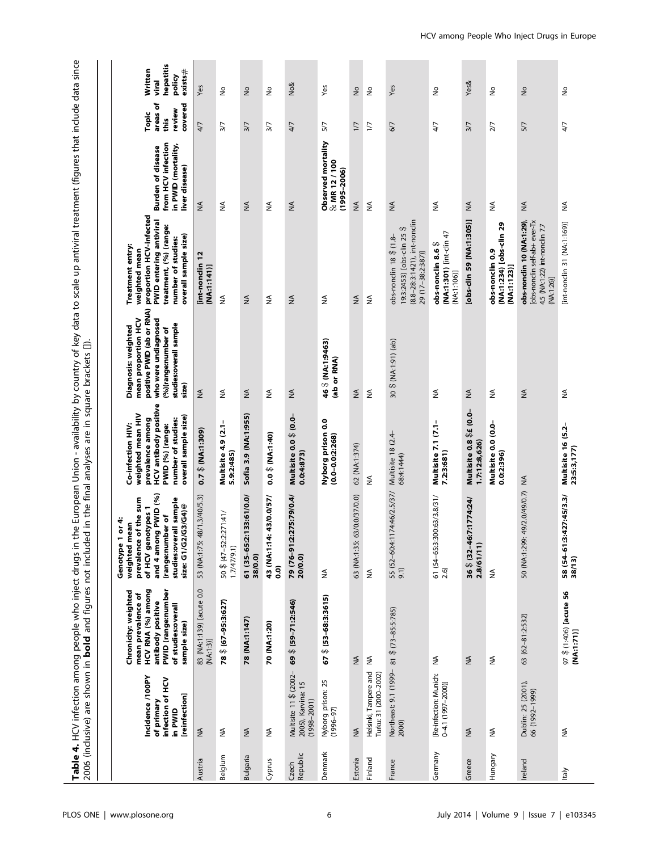**Table 4.** HCV infection among people who inject drugs in the European Union - availability by country of key data to scale up antiviral treatment (figures that include data since<br>2006 (inclusive) are shown in **bold** and f Table 4. HCV infection among people who inject drugs in the European Union - availability by country of key data to scale up antiviral treatment (figures that include data since 2006 (inclusive) are shown in bold and figures not included in the final analyses are in square brackets []).

|                   | Incidence /100PY<br>infection of HCV<br>[reinfection]<br>of primary<br>in PWID | HCV RNA (%) among<br>PWID (range:number<br>Chronicity: weighted<br>mean prevalence of<br>antibody positive<br>of studies:overall<br>sample size) | and 4 among PWID (%)<br>studies:overall sample<br>prevalence of the sum<br>size: G1/G2/G3/G4)@<br>of HCV genotypes 1<br>trange:number of<br>1 or 4:<br>mean<br>Genotype<br>weighted | <b>HCV antibody positive</b><br>weighted mean HIV<br>overall sample size)<br>prevalence among<br>number of studies:<br>PWID (%) (range:<br>Co-infection HIV: | positive PWID (ab or RNA)<br>mean proportion HCV<br>who were undiagnosed<br>studies: overall sample<br>Diagnosis: weighted<br>(%)(range:number of<br>size) | proportion HCV-infected<br><b>PWD</b> entering antiviral<br>treatment, (%) (range:<br>overall sample size)<br>number of studies:<br>Treatment entry:<br>weighted mean | from HCV infection<br>in PWID (mortality,<br><b>Burden of disease</b><br>liver disease) | areas of<br>covered<br>review<br>Topic<br>this | hepatitis<br>Written<br>exists $\#$<br>policy<br>viral |
|-------------------|--------------------------------------------------------------------------------|--------------------------------------------------------------------------------------------------------------------------------------------------|-------------------------------------------------------------------------------------------------------------------------------------------------------------------------------------|--------------------------------------------------------------------------------------------------------------------------------------------------------------|------------------------------------------------------------------------------------------------------------------------------------------------------------|-----------------------------------------------------------------------------------------------------------------------------------------------------------------------|-----------------------------------------------------------------------------------------|------------------------------------------------|--------------------------------------------------------|
| Austria           | $\mathop{\leq}\limits_{\mathop{\bf Z}}$                                        | 83 (NA:1:139) [acute 0.0<br>(NA:1:3)]                                                                                                            | 53 (NA:1:75: 48/1.3/40/5.3)                                                                                                                                                         | 0.7 \$ (NA:1:309)                                                                                                                                            | ≸                                                                                                                                                          | lint-nonclin 12<br>(MA:1:141)                                                                                                                                         | ₹                                                                                       | 4/7                                            | Yes                                                    |
| Belgium           | $\mathop{\mathsf{S}}\limits_\mathsf{Z}$                                        | 78 \$ (67-95:3:627)                                                                                                                              | 50 \$ (47–52:2:271:41/<br>1.7/47/9.1)                                                                                                                                               | Multisite 4.9 (2.1-<br>5.9:2:485)                                                                                                                            | $\lessgtr$                                                                                                                                                 | $\lessgtr$                                                                                                                                                            | $\lessgtr$                                                                              | 3/7                                            | ş                                                      |
| <b>Bulgaria</b>   | $\frac{4}{2}$                                                                  | 78 (NA:1:147)                                                                                                                                    | :2:133:61/0.0<br>61 (35-65<br>38/0.0)                                                                                                                                               | Sofia 3.9 (NA:1:955)                                                                                                                                         | $\lessgtr$                                                                                                                                                 | $\leq$                                                                                                                                                                | $\lessgtr$                                                                              | 3/7                                            | $\frac{1}{2}$                                          |
| Cyprus            | $\lessapprox$                                                                  | 70 (NA:1:20)                                                                                                                                     | 4: 43/0.0/57/<br>43 (NA:1:1<br>$\overline{0}$                                                                                                                                       | $0.0$ $$$ (NA:1:40)                                                                                                                                          | ₹                                                                                                                                                          | $\lessgtr$                                                                                                                                                            | ₹                                                                                       | 3/7                                            | ş                                                      |
| Republic<br>Czech | 2005), Karvina: 15<br>$(1998 - 2001)$                                          | Multisite 11 \$ (2002-69 \$ (59-71:2:546)                                                                                                        | :2:275:79/0.4/<br>16-91) 64<br>20/0.0                                                                                                                                               | Multisite 0.0 \$ (0.0-<br>0.0:4:873)                                                                                                                         | ≨                                                                                                                                                          | ≨                                                                                                                                                                     | ≨                                                                                       | 4/7                                            | No&                                                    |
| Denmark           | Nyborg prison: 25<br>(1996–97)                                                 | 67 \$ (53-68:3:3615)                                                                                                                             | ≸                                                                                                                                                                                   | Nyborg prison 0.0<br>$(0.0 - 0.0 : 2 : 268)$                                                                                                                 | 46 \$ (NA:1:9463)<br>(ab or RNA)                                                                                                                           | ≸                                                                                                                                                                     | Observed mortality<br>$$:$ MR 12 / 100<br>$(1995 - 2006)$                               | 5/7                                            | Yes                                                    |
| Estonia           | $\frac{4}{2}$                                                                  | $\lessgtr$                                                                                                                                       | 63 (NA:1:35: 63/0.0/37/0.0)                                                                                                                                                         | 62 (NA:1:374)                                                                                                                                                | ≨                                                                                                                                                          | ≨                                                                                                                                                                     | ≸                                                                                       | 1/7                                            | $\frac{1}{2}$                                          |
| Finland           | Helsinki, Tampere and<br>Turku: 31 (2000-2002)                                 | ≨                                                                                                                                                | ≸                                                                                                                                                                                   | $\frac{1}{2}$                                                                                                                                                | ≨                                                                                                                                                          | ≸                                                                                                                                                                     | ≨                                                                                       | 17                                             | ş                                                      |
| France            | Northeast: 9.1 (1999- 81 \$ (73-85:5:785)<br>2000)                             |                                                                                                                                                  | 55 (52–60:4:1174:46/2.5/37/<br>9.1)                                                                                                                                                 | Multisite 18 (2.4-<br>68:4:1444)                                                                                                                             | 30 \$ (NA:1:91) (ab)                                                                                                                                       | (8.8-28:3:1421), int-nonclin<br>19:3:2453) [obs-clin 25 \$<br>$\frac{3}{2}$ (1.8 $\frac{1}{2}$ (1.8 $\frac{1}{2}$<br>29 (17-38:2:387)]                                | $\lessgtr$                                                                              | 6/7                                            | Yes                                                    |
| Germany           | [Re-infection: Munich:<br>0-4.1 (1997-2000)]                                   | ≸                                                                                                                                                | 61 (54-65:3:300:63/3.8/31/<br>2.6)                                                                                                                                                  | Multisite 7.1 (7.1-<br>7.2:3:681)                                                                                                                            | ≨                                                                                                                                                          | (NA:1:301) [int-din 47<br>↮<br>obs-nonclin 8.6<br>(NA:1:106)]                                                                                                         | ≸                                                                                       | 4/7                                            | ş                                                      |
| Greece            | $\lessgtr$                                                                     | $\lessgtr$                                                                                                                                       | 36 \$ (32-46:7:1774:24/<br>2.8/61/11)                                                                                                                                               | Multisite 0.8 \$£ (0.0-<br>1.7:12:8,626)                                                                                                                     | ≨                                                                                                                                                          | [obs-clin 59 (NA:1:305)]                                                                                                                                              | ≨                                                                                       | 3/7                                            | Yes&                                                   |
| Hungary           | $\stackrel{\leq}{\geq}$                                                        | ₹                                                                                                                                                | $\lessgtr$                                                                                                                                                                          | Multisite 0.0 (0.0-<br>0.0:2:396)                                                                                                                            | ≨                                                                                                                                                          | (NA:1:234) [obs-clin 29<br>obs-nonclin 0.9<br>[NA:1:123]                                                                                                              | ≨                                                                                       | 2/7                                            | ş                                                      |
| Ireland           | Dublin: 25 (2001),<br>66 (1992-1999)                                           | 63 (62-81:2:532)                                                                                                                                 | 50 (NA:1:299: 49/2.0/49/0.7)                                                                                                                                                        | ≨                                                                                                                                                            | ₹                                                                                                                                                          | obs-nonclin 10 (NA:1:29),<br>[obs-nonclin self-ab+ ever-Tx<br>4.5 (NA:1:22) int-nonclin 7.7<br>(NA:1:26)]                                                             | $\lessgtr$                                                                              | 5/7                                            | $\stackrel{\mathtt{o}}{\geq}$                          |
| Italy             | $\frac{4}{2}$                                                                  | 97 \$ (1:406) [acute 56<br>(MA:1:71)                                                                                                             | 58 (54-61:3:427:45/3.3/<br>38/13)                                                                                                                                                   | Multisite 16 (5.2-<br>23:5:3,177)                                                                                                                            | ≨                                                                                                                                                          | [int-nonclin 31 (NA:1:169)]                                                                                                                                           | ≨                                                                                       | 47                                             | ş                                                      |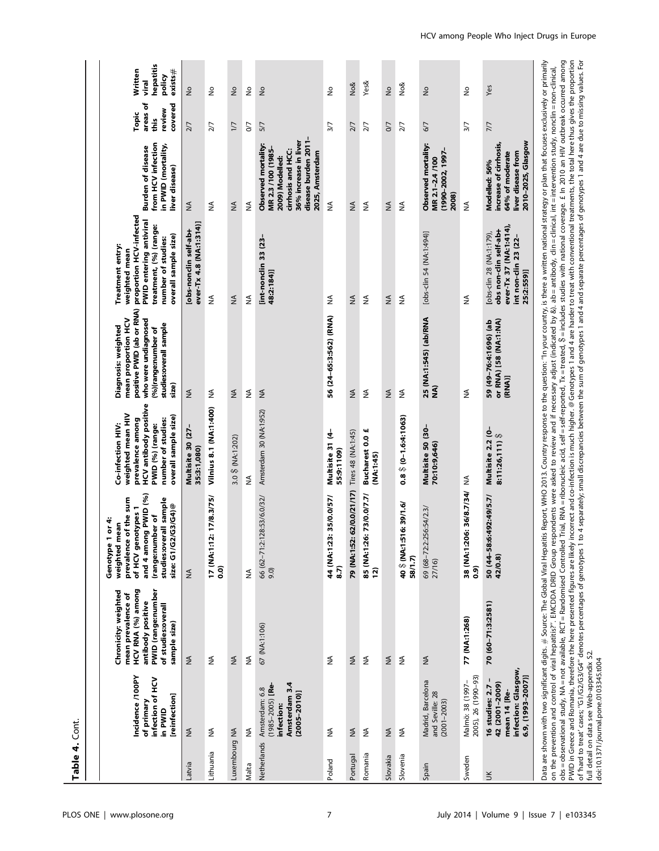Table 4. Cont. Table 4. Cont.

|               | Incidence /100PY<br>infection of HCV<br>[reinfection]<br>of primary<br>in PWID                | HCV RNA (%) among<br>PWID (range:number<br>Chronicity: weighted<br>mean prevalence of<br>antibody positive<br>of studies:overall<br>sample size)           | and 4 among PWID (%)<br>prevalence of the sum<br>studies: overall sample<br>size: G1/G2/G3/G4)@<br>of HCV genotypes 1<br>(range:number of<br>$\frac{4}{5}$<br>mean<br>Genotype<br>weighted | <b>HCV</b> antibody positive<br>weighted mean HIV<br>overall sample size)<br>number of studies:<br>prevalence among<br>PWID (%) (range:<br>Co-infection HIV: | positive PWID (ab or RNA)<br>mean proportion HCV<br>who were undiagnosed<br>studies: overall sample<br>Diagnosis: weighted<br>(%)(range:number of<br>size) | proportion HCV-infected<br><b>PWD</b> entering antiviral<br>treatment, (%) (range:<br>overall sample size)<br>number of studies:<br>Treatment entry:<br>weighted mean                                                                                                                                                                                                                                                                                                                                                                                                                                                                                                                                                                                                                                                                                                                                                                                                                                              | from HCV infection<br>in PWID (mortality,<br><b>Burden of disease</b><br>liver disease)                                                                | areas of<br>covered<br>review<br>Topic<br>this | hepatitis<br>exists $#$<br>Written<br>policy<br>viral |
|---------------|-----------------------------------------------------------------------------------------------|------------------------------------------------------------------------------------------------------------------------------------------------------------|--------------------------------------------------------------------------------------------------------------------------------------------------------------------------------------------|--------------------------------------------------------------------------------------------------------------------------------------------------------------|------------------------------------------------------------------------------------------------------------------------------------------------------------|--------------------------------------------------------------------------------------------------------------------------------------------------------------------------------------------------------------------------------------------------------------------------------------------------------------------------------------------------------------------------------------------------------------------------------------------------------------------------------------------------------------------------------------------------------------------------------------------------------------------------------------------------------------------------------------------------------------------------------------------------------------------------------------------------------------------------------------------------------------------------------------------------------------------------------------------------------------------------------------------------------------------|--------------------------------------------------------------------------------------------------------------------------------------------------------|------------------------------------------------|-------------------------------------------------------|
| Latvia        | $\frac{4}{2}$                                                                                 | ≨                                                                                                                                                          | $\frac{4}{2}$                                                                                                                                                                              | <b>Multisite 30 (27-</b><br>35:3:1,080)                                                                                                                      | ≨                                                                                                                                                          | ever-Tx 4.8 (NA:1:314)]<br>[obs-nonclin self-ab+                                                                                                                                                                                                                                                                                                                                                                                                                                                                                                                                                                                                                                                                                                                                                                                                                                                                                                                                                                   | ≨                                                                                                                                                      | 2/7                                            | $\frac{1}{2}$                                         |
| Lithuania     | $\stackrel{\triangle}{\geq}$                                                                  | ≨                                                                                                                                                          | 2: 17/8.3/75/<br><b>17 (NA:1:1</b><br>$\overline{0}$                                                                                                                                       | Vilnius 8.1 (NA:1:400)                                                                                                                                       | ≨                                                                                                                                                          | ≨                                                                                                                                                                                                                                                                                                                                                                                                                                                                                                                                                                                                                                                                                                                                                                                                                                                                                                                                                                                                                  | ≨                                                                                                                                                      | 2/7                                            | ş                                                     |
| Luxembourg NA |                                                                                               | ₹                                                                                                                                                          |                                                                                                                                                                                            | 3.0 \$ (NA:1:202)                                                                                                                                            | $\lessgtr$                                                                                                                                                 | ≨                                                                                                                                                                                                                                                                                                                                                                                                                                                                                                                                                                                                                                                                                                                                                                                                                                                                                                                                                                                                                  | $\lessgtr$                                                                                                                                             | 1/7                                            | $\frac{\circ}{\sim}$                                  |
| Malta         | ≨                                                                                             | ≨                                                                                                                                                          | ≸                                                                                                                                                                                          | ≨                                                                                                                                                            | ≨                                                                                                                                                          | ≸                                                                                                                                                                                                                                                                                                                                                                                                                                                                                                                                                                                                                                                                                                                                                                                                                                                                                                                                                                                                                  | ≸                                                                                                                                                      | $\overline{0}$                                 | ş                                                     |
| Netherlands   | Amsterdam 3.4<br>$(1985 - 2005)$ [Re-<br>Amsterdam: 6.8<br>$(2005 - 2010)$<br>infection:      | 67 (NA:1:106)                                                                                                                                              | 66 (62-71:2:128:53/6.0/32/<br>9.0                                                                                                                                                          | Amsterdam 30 (NA:1:952)                                                                                                                                      | ≨                                                                                                                                                          | [int-nonclin 33 (23<br>48:2:184)]                                                                                                                                                                                                                                                                                                                                                                                                                                                                                                                                                                                                                                                                                                                                                                                                                                                                                                                                                                                  | disease burden 2011-<br>36% increase in liver<br>Observed mortality:<br>MR 2.3 /100 (1985-<br>cirrhosis and HCC:<br>2025, Amsterdam<br>2009) Modelled: | 5/7                                            | $\frac{1}{2}$                                         |
| Poland        | ≨                                                                                             | ≨                                                                                                                                                          | 3: 35/0.0/57/<br>44 (NA:1:2<br>$\overline{8.7}$                                                                                                                                            | Multisite 31 (4-<br>55:9:1109)                                                                                                                               | 56 (24-65:3:562) (RNA)                                                                                                                                     | ≨                                                                                                                                                                                                                                                                                                                                                                                                                                                                                                                                                                                                                                                                                                                                                                                                                                                                                                                                                                                                                  | ₹                                                                                                                                                      | $\frac{3}{7}$                                  | ş                                                     |
| Portugal      | $\stackrel{\triangle}{\geq}$                                                                  | ≨                                                                                                                                                          | 79 (NA:1:52: 62/0.0/21/17)                                                                                                                                                                 | Tires 48 (NA:1:45)                                                                                                                                           | ≨                                                                                                                                                          | ≨                                                                                                                                                                                                                                                                                                                                                                                                                                                                                                                                                                                                                                                                                                                                                                                                                                                                                                                                                                                                                  | ≨                                                                                                                                                      | 2/7                                            | No&                                                   |
| Romania       | $\stackrel{\triangle}{\geq}$                                                                  | ≨                                                                                                                                                          | 6: 73/0.0/7.7/<br>85 (NA:1:2<br>12)                                                                                                                                                        | Bucharest 0.0 £<br>(NA:1:45)                                                                                                                                 | ≨                                                                                                                                                          | ≨                                                                                                                                                                                                                                                                                                                                                                                                                                                                                                                                                                                                                                                                                                                                                                                                                                                                                                                                                                                                                  | ≨                                                                                                                                                      | $\frac{2}{7}$                                  | Yes&                                                  |
| Slovakia      | $\frac{4}{2}$                                                                                 | ₹                                                                                                                                                          |                                                                                                                                                                                            |                                                                                                                                                              | ≸                                                                                                                                                          | ₹                                                                                                                                                                                                                                                                                                                                                                                                                                                                                                                                                                                                                                                                                                                                                                                                                                                                                                                                                                                                                  | ₹                                                                                                                                                      | $\overline{O}$                                 | $\frac{1}{2}$                                         |
| Slovenia      | $\frac{1}{2}$                                                                                 | $\lessgtr$                                                                                                                                                 | 516: 39/1.6/<br>40 \$ (NA:1:<br>58/1.7)                                                                                                                                                    | $0.8 $ (0-1.6:4:1063)$                                                                                                                                       | ≨                                                                                                                                                          | $\lessgtr$                                                                                                                                                                                                                                                                                                                                                                                                                                                                                                                                                                                                                                                                                                                                                                                                                                                                                                                                                                                                         | $\lessgtr$                                                                                                                                             | 2/7                                            | No&                                                   |
| Spain         | Madrid, Barcelona<br>and Seville: 28<br>$(2001 - 2003)$                                       | ≨                                                                                                                                                          | 69 (68-72:2:256:54/2.3/<br>27/16)                                                                                                                                                          | Multisite 50 (30-<br>70:10:9,646)                                                                                                                            | 25 (NA:1:545) (ab/RNA<br>$\widetilde{\mathbf{z}}$                                                                                                          | [obs-clin 54 (NA:1:494)]                                                                                                                                                                                                                                                                                                                                                                                                                                                                                                                                                                                                                                                                                                                                                                                                                                                                                                                                                                                           | Observed mortality:<br>(1990–2002, 1997–<br>MR 2.1-2.4 /100<br>2008)                                                                                   | 6/7                                            | $\frac{1}{2}$                                         |
| Sweden        | 2005), 26 (1990-93)<br>Malmö: 38 (1997-                                                       | 77 (NA:1:268)                                                                                                                                              | 06: 36/8.7/34/<br>38 (NA:1:2<br>$\overline{6}$ .0                                                                                                                                          | ≨                                                                                                                                                            | ≸                                                                                                                                                          | ≨                                                                                                                                                                                                                                                                                                                                                                                                                                                                                                                                                                                                                                                                                                                                                                                                                                                                                                                                                                                                                  | ≸                                                                                                                                                      | $\frac{3}{7}$                                  | ş                                                     |
| š             | infection: Glasgow,<br>6.9, (1993-2007)]<br>42 (2001-2009)<br>16 studies: 2.7<br>mean 14 [Re- | 70 (60-71:3:2581)                                                                                                                                          | :6:492:49/5.7/<br>50 (44-58<br>42/0.8)                                                                                                                                                     | Multisite 2.2 (0-<br>8:11:26,111)                                                                                                                            | or RNA) [58 (NA:1:NA)<br>59 (49-76:4:1696) (ab<br>(RNA)]                                                                                                   | ever-Tx 37 (NA:1:414),<br>obs non-clin self-ab+<br>[obs-clin 28 (NA:1:179)<br>int non-clin 23 (22-<br>25:2:559)]                                                                                                                                                                                                                                                                                                                                                                                                                                                                                                                                                                                                                                                                                                                                                                                                                                                                                                   | 2010-2025, Glasgow<br>increase of cirrhosis,<br>liver disease from<br>64% of moderate<br>Modelled: 56%                                                 | 7/7                                            | Yes                                                   |
|               | full detail on data see Web-appendix S2.<br>doi:10.1371/journal.pone.0103345.t004             | Data are shown with two significant digits. # Source: The Global Viral Hepat<br>of 'hard to treat' cases; "G1/G2/G3/G4" denotes percentages of genotypes 1 |                                                                                                                                                                                            |                                                                                                                                                              |                                                                                                                                                            | PWID in Greece and Romania, therefore the here presented figures are likely incorrect and co-infection is much higher. @ Genotypes 1 and 4 are harder to treat with conventional treatments, the total here thus gives the pro<br>to 4 separately; small discrepancies between the sum of genotypes 1 and 4 and separate percentages of genotypes 1 and 4 are due to missing values. For<br>obs=observational study, WA = not available, RCT = Randomised Controlled Trial, RNA = ribonucleic acid, self-reported, Tx = treated, \$= includes studies with national coverage. £ In 2010 an HIV outbreak occurred among<br>itis Report, WHO 2013. Country response to the question: "In your country, is there a written national strategy or plan that focuses exclusively or primarily<br>on the prevention and control of viral hepatitis?". EMCDDA DRID Group respondents were asked to review and if necessary adjust (indicated by &), ab = antibody, clin = clinical, int = intervention study, nonclinical, |                                                                                                                                                        |                                                |                                                       |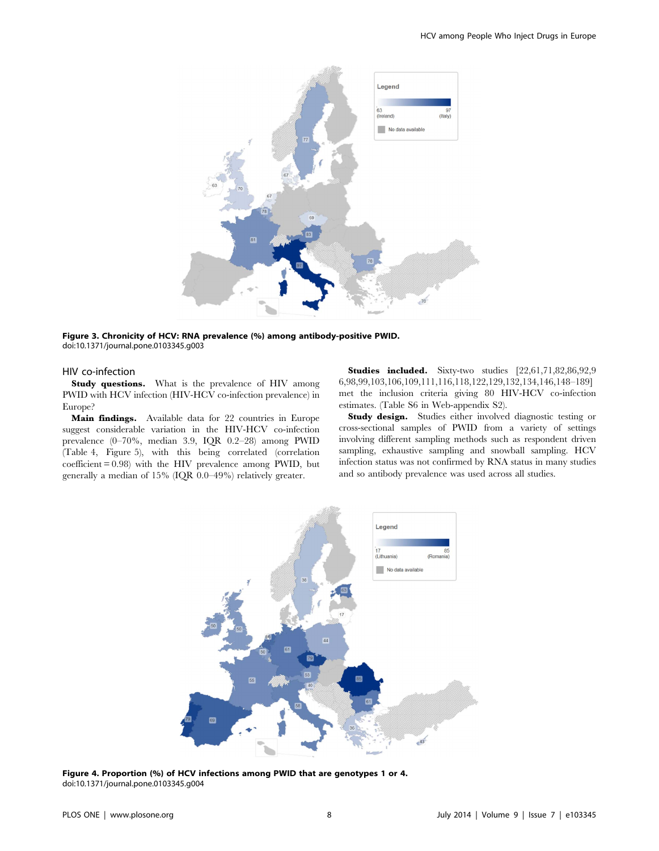

Figure 3. Chronicity of HCV: RNA prevalence (%) among antibody-positive PWID. doi:10.1371/journal.pone.0103345.g003

## HIV co-infection

Study questions. What is the prevalence of HIV among PWID with HCV infection (HIV-HCV co-infection prevalence) in Europe?

Main findings. Available data for 22 countries in Europe suggest considerable variation in the HIV-HCV co-infection prevalence (0–70%, median 3.9, IQR 0.2–28) among PWID (Table 4, Figure 5), with this being correlated (correlation coefficient = 0.98) with the HIV prevalence among PWID, but generally a median of 15% (IQR 0.0–49%) relatively greater.

Studies included. Sixty-two studies [22,61,71,82,86,92,9 6,98,99,103,106,109,111,116,118,122,129,132,134,146,148–189] met the inclusion criteria giving 80 HIV-HCV co-infection estimates. (Table S6 in Web-appendix S2).

Study design. Studies either involved diagnostic testing or cross-sectional samples of PWID from a variety of settings involving different sampling methods such as respondent driven sampling, exhaustive sampling and snowball sampling. HCV infection status was not confirmed by RNA status in many studies and so antibody prevalence was used across all studies.



Figure 4. Proportion (%) of HCV infections among PWID that are genotypes 1 or 4. doi:10.1371/journal.pone.0103345.g004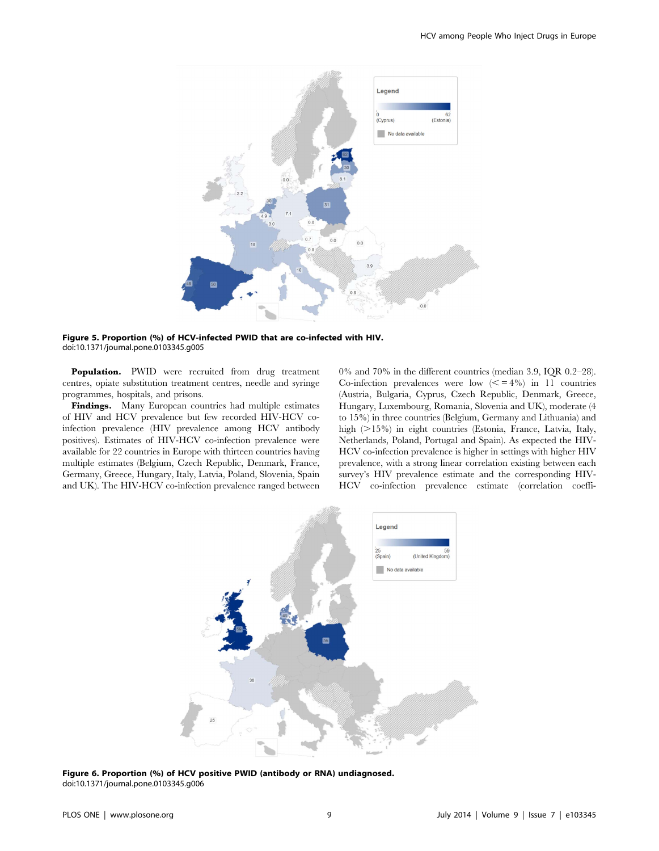

Figure 5. Proportion (%) of HCV-infected PWID that are co-infected with HIV. doi:10.1371/journal.pone.0103345.g005

Population. PWID were recruited from drug treatment centres, opiate substitution treatment centres, needle and syringe programmes, hospitals, and prisons.

Findings. Many European countries had multiple estimates of HIV and HCV prevalence but few recorded HIV-HCV coinfection prevalence (HIV prevalence among HCV antibody positives). Estimates of HIV-HCV co-infection prevalence were available for 22 countries in Europe with thirteen countries having multiple estimates (Belgium, Czech Republic, Denmark, France, Germany, Greece, Hungary, Italy, Latvia, Poland, Slovenia, Spain and UK). The HIV-HCV co-infection prevalence ranged between 0% and 70% in the different countries (median 3.9, IQR 0.2–28). Co-infection prevalences were low  $\left| \langle \xi \rangle = 4\% \right|$  in 11 countries (Austria, Bulgaria, Cyprus, Czech Republic, Denmark, Greece, Hungary, Luxembourg, Romania, Slovenia and UK), moderate (4 to 15%) in three countries (Belgium, Germany and Lithuania) and high  $(>15\%)$  in eight countries (Estonia, France, Latvia, Italy, Netherlands, Poland, Portugal and Spain). As expected the HIV-HCV co-infection prevalence is higher in settings with higher HIV prevalence, with a strong linear correlation existing between each survey's HIV prevalence estimate and the corresponding HIV-HCV co-infection prevalence estimate (correlation coeffi-



Figure 6. Proportion (%) of HCV positive PWID (antibody or RNA) undiagnosed. doi:10.1371/journal.pone.0103345.g006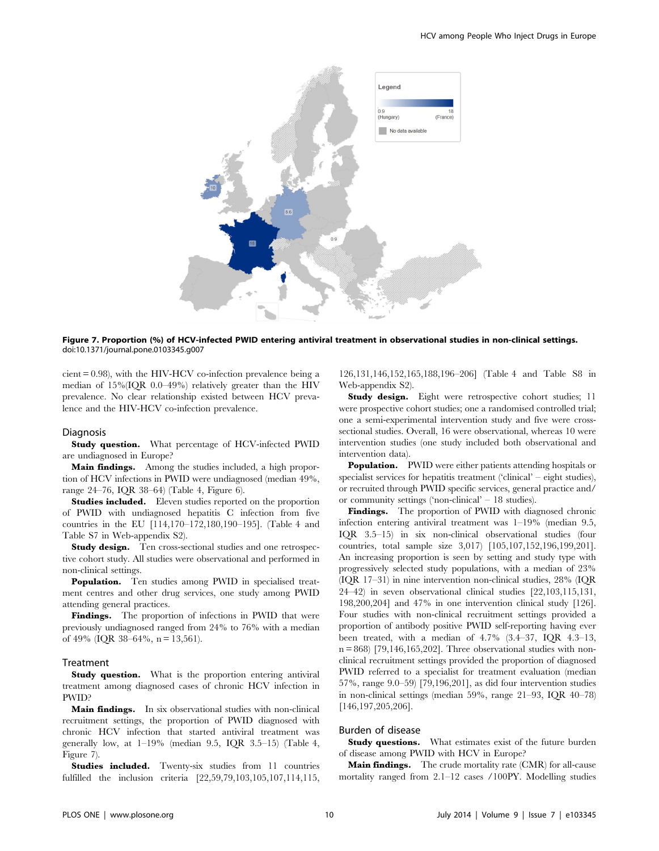

Figure 7. Proportion (%) of HCV-infected PWID entering antiviral treatment in observational studies in non-clinical settings. doi:10.1371/journal.pone.0103345.g007

cient = 0.98), with the HIV-HCV co-infection prevalence being a median of 15%(IQR 0.0–49%) relatively greater than the HIV prevalence. No clear relationship existed between HCV prevalence and the HIV-HCV co-infection prevalence.

## Diagnosis

Study question. What percentage of HCV-infected PWID are undiagnosed in Europe?

Main findings. Among the studies included, a high proportion of HCV infections in PWID were undiagnosed (median 49%, range 24–76, IQR 38–64) (Table 4, Figure 6).

**Studies included.** Eleven studies reported on the proportion of PWID with undiagnosed hepatitis C infection from five countries in the EU [114,170–172,180,190–195]. (Table 4 and Table S7 in Web-appendix S2).

**Study design.** Ten cross-sectional studies and one retrospective cohort study. All studies were observational and performed in non-clinical settings.

Population. Ten studies among PWID in specialised treatment centres and other drug services, one study among PWID attending general practices.

Findings. The proportion of infections in PWID that were previously undiagnosed ranged from 24% to 76% with a median of 49% (IQR 38-64%,  $n = 13,561$ ).

#### Treatment

Study question. What is the proportion entering antiviral treatment among diagnosed cases of chronic HCV infection in PWID?

Main findings. In six observational studies with non-clinical recruitment settings, the proportion of PWID diagnosed with chronic HCV infection that started antiviral treatment was generally low, at  $1-19\%$  (median 9.5, IOR 3.5-15) (Table 4, Figure 7).

Studies included. Twenty-six studies from 11 countries fulfilled the inclusion criteria [22,59,79,103,105,107,114,115,

126,131,146,152,165,188,196–206] (Table 4 and Table S8 in Web-appendix S2).

Study design. Eight were retrospective cohort studies; 11 were prospective cohort studies; one a randomised controlled trial; one a semi-experimental intervention study and five were crosssectional studies. Overall, 16 were observational, whereas 10 were intervention studies (one study included both observational and intervention data).

Population. PWID were either patients attending hospitals or specialist services for hepatitis treatment ('clinical' – eight studies), or recruited through PWID specific services, general practice and/ or community settings ('non-clinical' – 18 studies).

Findings. The proportion of PWID with diagnosed chronic infection entering antiviral treatment was 1–19% (median 9.5, IQR 3.5–15) in six non-clinical observational studies (four countries, total sample size 3,017) [105,107,152,196,199,201]. An increasing proportion is seen by setting and study type with progressively selected study populations, with a median of 23% (IQR 17–31) in nine intervention non-clinical studies, 28% (IQR 24–42) in seven observational clinical studies [22,103,115,131, 198,200,204] and 47% in one intervention clinical study [126]. Four studies with non-clinical recruitment settings provided a proportion of antibody positive PWID self-reporting having ever been treated, with a median of 4.7% (3.4–37, IQR 4.3–13,  $n = 868$  [79,146,165,202]. Three observational studies with nonclinical recruitment settings provided the proportion of diagnosed PWID referred to a specialist for treatment evaluation (median 57%, range 9.0–59) [79,196,201], as did four intervention studies in non-clinical settings (median 59%, range 21–93, IQR 40–78) [146,197,205,206].

## Burden of disease

**Study questions.** What estimates exist of the future burden of disease among PWID with HCV in Europe?

Main findings. The crude mortality rate (CMR) for all-cause mortality ranged from 2.1–12 cases /100PY. Modelling studies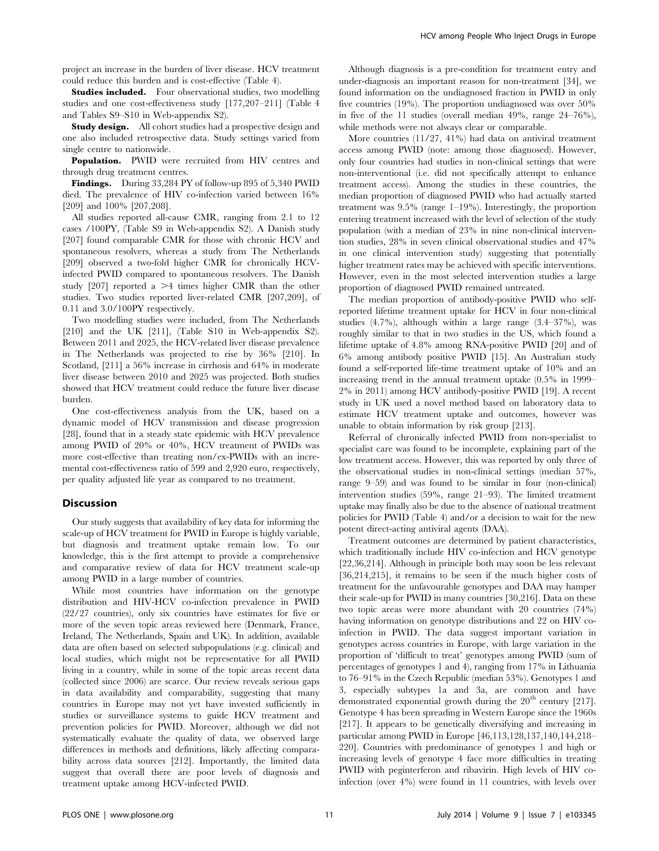project an increase in the burden of liver disease. HCV treatment could reduce this burden and is cost-effective (Table 4).

**Studies included.** Four observational studies, two modelling studies and one cost-effectiveness study [177,207–211] (Table 4 and Tables S9–S10 in Web-appendix S2).

**Study design.** All cohort studies had a prospective design and one also included retrospective data. Study settings varied from single centre to nationwide.

**Population.** PWID were recruited from HIV centres and through drug treatment centres.

Findings. During 33,284 PY of follow-up 895 of 5,340 PWID died. The prevalence of HIV co-infection varied between 16% [209] and 100% [207,208].

All studies reported all-cause CMR, ranging from 2.1 to 12 cases /100PY, (Table S9 in Web-appendix S2). A Danish study [207] found comparable CMR for those with chronic HCV and spontaneous resolvers, whereas a study from The Netherlands [209] observed a two-fold higher CMR for chronically HCVinfected PWID compared to spontaneous resolvers. The Danish study [207] reported a  $>4$  times higher CMR than the other studies. Two studies reported liver-related CMR [207,209], of 0.11 and 3.0/100PY respectively.

Two modelling studies were included, from The Netherlands [210] and the UK [211], (Table S10 in Web-appendix S2). Between 2011 and 2025, the HCV-related liver disease prevalence in The Netherlands was projected to rise by 36% [210]. In Scotland, [211] a 56% increase in cirrhosis and 64% in moderate liver disease between 2010 and 2025 was projected. Both studies showed that HCV treatment could reduce the future liver disease burden.

One cost-effectiveness analysis from the UK, based on a dynamic model of HCV transmission and disease progression [28], found that in a steady state epidemic with HCV prevalence among PWID of 20% or 40%, HCV treatment of PWIDs was more cost-effective than treating non/ex-PWIDs with an incremental cost-effectiveness ratio of 599 and 2,920 euro, respectively, per quality adjusted life year as compared to no treatment.

## **Discussion**

Our study suggests that availability of key data for informing the scale-up of HCV treatment for PWID in Europe is highly variable, but diagnosis and treatment uptake remain low. To our knowledge, this is the first attempt to provide a comprehensive and comparative review of data for HCV treatment scale-up among PWID in a large number of countries.

While most countries have information on the genotype distribution and HIV-HCV co-infection prevalence in PWID (22/27 countries), only six countries have estimates for five or more of the seven topic areas reviewed here (Denmark, France, Ireland, The Netherlands, Spain and UK). In addition, available data are often based on selected subpopulations (e.g. clinical) and local studies, which might not be representative for all PWID living in a country, while in some of the topic areas recent data (collected since 2006) are scarce. Our review reveals serious gaps in data availability and comparability, suggesting that many countries in Europe may not yet have invested sufficiently in studies or surveillance systems to guide HCV treatment and prevention policies for PWID. Moreover, although we did not systematically evaluate the quality of data, we observed large differences in methods and definitions, likely affecting comparability across data sources [212]. Importantly, the limited data suggest that overall there are poor levels of diagnosis and treatment uptake among HCV-infected PWID.

Although diagnosis is a pre-condition for treatment entry and under-diagnosis an important reason for non-treatment [34], we found information on the undiagnosed fraction in PWID in only five countries (19%). The proportion undiagnosed was over 50% in five of the 11 studies (overall median 49%, range 24–76%), while methods were not always clear or comparable.

More countries (11/27, 41%) had data on antiviral treatment access among PWID (note: among those diagnosed). However, only four countries had studies in non-clinical settings that were non-interventional (i.e. did not specifically attempt to enhance treatment access). Among the studies in these countries, the median proportion of diagnosed PWID who had actually started treatment was 9.5% (range 1–19%). Interestingly, the proportion entering treatment increased with the level of selection of the study population (with a median of 23% in nine non-clinical intervention studies, 28% in seven clinical observational studies and 47% in one clinical intervention study) suggesting that potentially higher treatment rates may be achieved with specific interventions. However, even in the most selected intervention studies a large proportion of diagnosed PWID remained untreated.

The median proportion of antibody-positive PWID who selfreported lifetime treatment uptake for HCV in four non-clinical studies (4.7%), although within a large range (3.4–37%), was roughly similar to that in two studies in the US, which found a lifetime uptake of 4.8% among RNA-positive PWID [20] and of 6% among antibody positive PWID [15]. An Australian study found a self-reported life-time treatment uptake of 10% and an increasing trend in the annual treatment uptake (0.5% in 1999– 2% in 2011) among HCV antibody-positive PWID [19]. A recent study in UK used a novel method based on laboratory data to estimate HCV treatment uptake and outcomes, however was unable to obtain information by risk group [213].

Referral of chronically infected PWID from non-specialist to specialist care was found to be incomplete, explaining part of the low treatment access. However, this was reported by only three of the observational studies in non-clinical settings (median 57%, range 9–59) and was found to be similar in four (non-clinical) intervention studies (59%, range 21–93). The limited treatment uptake may finally also be due to the absence of national treatment policies for PWID (Table 4) and/or a decision to wait for the new potent direct-acting antiviral agents (DAA).

Treatment outcomes are determined by patient characteristics, which traditionally include HIV co-infection and HCV genotype [22,36,214]. Although in principle both may soon be less relevant [36,214,215], it remains to be seen if the much higher costs of treatment for the unfavourable genotypes and DAA may hamper their scale-up for PWID in many countries [30,216]. Data on these two topic areas were more abundant with 20 countries (74%) having information on genotype distributions and 22 on HIV coinfection in PWID. The data suggest important variation in genotypes across countries in Europe, with large variation in the proportion of 'difficult to treat' genotypes among PWID (sum of percentages of genotypes 1 and 4), ranging from 17% in Lithuania to 76–91% in the Czech Republic (median 53%). Genotypes 1 and 3, especially subtypes 1a and 3a, are common and have demonstrated exponential growth during the  $20<sup>th</sup>$  century [217]. Genotype 4 has been spreading in Western Europe since the 1960s [217]. It appears to be genetically diversifying and increasing in particular among PWID in Europe [46,113,128,137,140,144,218– 220]. Countries with predominance of genotypes 1 and high or increasing levels of genotype 4 face more difficulties in treating PWID with peginterferon and ribavirin. High levels of HIV coinfection (over 4%) were found in 11 countries, with levels over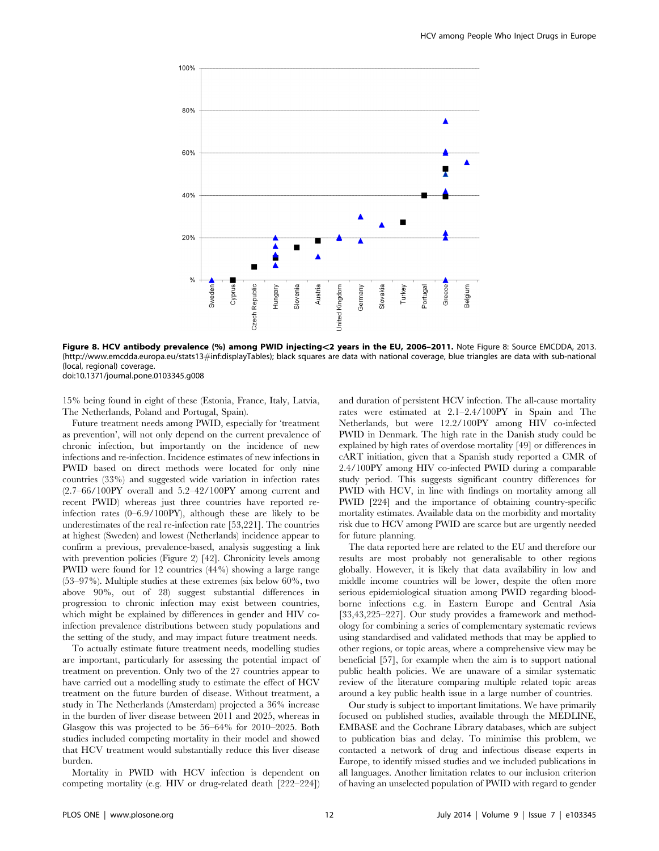

Figure 8. HCV antibody prevalence (%) among PWID injecting<2 years in the EU, 2006-2011. Note Figure 8: Source EMCDDA, 2013. [\(http://www.emcdda.europa.eu/stats13](http://www.emcdda.europa.eu/stats13#inf:displayTables)#[inf:displayTables\)](http://www.emcdda.europa.eu/stats13#inf:displayTables); black squares are data with national coverage, blue triangles are data with sub-national (local, regional) coverage. doi:10.1371/journal.pone.0103345.g008

15% being found in eight of these (Estonia, France, Italy, Latvia, The Netherlands, Poland and Portugal, Spain).

Future treatment needs among PWID, especially for 'treatment as prevention', will not only depend on the current prevalence of chronic infection, but importantly on the incidence of new infections and re-infection. Incidence estimates of new infections in PWID based on direct methods were located for only nine countries (33%) and suggested wide variation in infection rates (2.7–66/100PY overall and 5.2–42/100PY among current and recent PWID) whereas just three countries have reported reinfection rates (0–6.9/100PY), although these are likely to be underestimates of the real re-infection rate [53,221]. The countries at highest (Sweden) and lowest (Netherlands) incidence appear to confirm a previous, prevalence-based, analysis suggesting a link with prevention policies (Figure 2) [42]. Chronicity levels among PWID were found for 12 countries (44%) showing a large range (53–97%). Multiple studies at these extremes (six below 60%, two above 90%, out of 28) suggest substantial differences in progression to chronic infection may exist between countries, which might be explained by differences in gender and HIV coinfection prevalence distributions between study populations and the setting of the study, and may impact future treatment needs.

To actually estimate future treatment needs, modelling studies are important, particularly for assessing the potential impact of treatment on prevention. Only two of the 27 countries appear to have carried out a modelling study to estimate the effect of HCV treatment on the future burden of disease. Without treatment, a study in The Netherlands (Amsterdam) projected a 36% increase in the burden of liver disease between 2011 and 2025, whereas in Glasgow this was projected to be 56–64% for 2010–2025. Both studies included competing mortality in their model and showed that HCV treatment would substantially reduce this liver disease burden.

Mortality in PWID with HCV infection is dependent on competing mortality (e.g. HIV or drug-related death [222–224]) and duration of persistent HCV infection. The all-cause mortality rates were estimated at 2.1–2.4/100PY in Spain and The Netherlands, but were 12.2/100PY among HIV co-infected PWID in Denmark. The high rate in the Danish study could be explained by high rates of overdose mortality [49] or differences in cART initiation, given that a Spanish study reported a CMR of 2.4/100PY among HIV co-infected PWID during a comparable study period. This suggests significant country differences for PWID with HCV, in line with findings on mortality among all PWID [224] and the importance of obtaining country-specific mortality estimates. Available data on the morbidity and mortality risk due to HCV among PWID are scarce but are urgently needed for future planning.

The data reported here are related to the EU and therefore our results are most probably not generalisable to other regions globally. However, it is likely that data availability in low and middle income countries will be lower, despite the often more serious epidemiological situation among PWID regarding bloodborne infections e.g. in Eastern Europe and Central Asia [33,43,225–227]. Our study provides a framework and methodology for combining a series of complementary systematic reviews using standardised and validated methods that may be applied to other regions, or topic areas, where a comprehensive view may be beneficial [57], for example when the aim is to support national public health policies. We are unaware of a similar systematic review of the literature comparing multiple related topic areas around a key public health issue in a large number of countries.

Our study is subject to important limitations. We have primarily focused on published studies, available through the MEDLINE, EMBASE and the Cochrane Library databases, which are subject to publication bias and delay. To minimise this problem, we contacted a network of drug and infectious disease experts in Europe, to identify missed studies and we included publications in all languages. Another limitation relates to our inclusion criterion of having an unselected population of PWID with regard to gender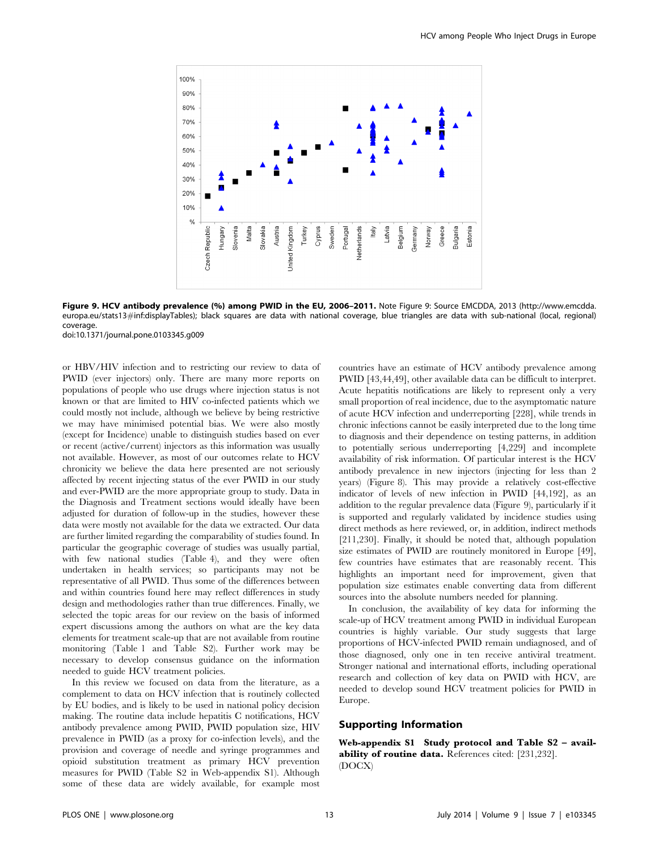

Figure 9. HCV antibody prevalence (%) among PWID in the EU, 2006-2011. Note Figure 9: Source EMCDDA, 2013 [\(http://www.emcdda.](http://www.emcdda.europa.eu/stats13#inf:displayTables) [europa.eu/stats13](http://www.emcdda.europa.eu/stats13#inf:displayTables)#[inf:displayTables](http://www.emcdda.europa.eu/stats13#inf:displayTables)); black squares are data with national coverage, blue triangles are data with sub-national (local, regional) coverage.

doi:10.1371/journal.pone.0103345.g009

or HBV/HIV infection and to restricting our review to data of PWID (ever injectors) only. There are many more reports on populations of people who use drugs where injection status is not known or that are limited to HIV co-infected patients which we could mostly not include, although we believe by being restrictive we may have minimised potential bias. We were also mostly (except for Incidence) unable to distinguish studies based on ever or recent (active/current) injectors as this information was usually not available. However, as most of our outcomes relate to HCV chronicity we believe the data here presented are not seriously affected by recent injecting status of the ever PWID in our study and ever-PWID are the more appropriate group to study. Data in the Diagnosis and Treatment sections would ideally have been adjusted for duration of follow-up in the studies, however these data were mostly not available for the data we extracted. Our data are further limited regarding the comparability of studies found. In particular the geographic coverage of studies was usually partial, with few national studies (Table 4), and they were often undertaken in health services; so participants may not be representative of all PWID. Thus some of the differences between and within countries found here may reflect differences in study design and methodologies rather than true differences. Finally, we selected the topic areas for our review on the basis of informed expert discussions among the authors on what are the key data elements for treatment scale-up that are not available from routine monitoring (Table 1 and Table S2). Further work may be necessary to develop consensus guidance on the information needed to guide HCV treatment policies.

In this review we focused on data from the literature, as a complement to data on HCV infection that is routinely collected by EU bodies, and is likely to be used in national policy decision making. The routine data include hepatitis C notifications, HCV antibody prevalence among PWID, PWID population size, HIV prevalence in PWID (as a proxy for co-infection levels), and the provision and coverage of needle and syringe programmes and opioid substitution treatment as primary HCV prevention measures for PWID (Table S2 in Web-appendix S1). Although some of these data are widely available, for example most countries have an estimate of HCV antibody prevalence among PWID [43,44,49], other available data can be difficult to interpret. Acute hepatitis notifications are likely to represent only a very small proportion of real incidence, due to the asymptomatic nature of acute HCV infection and underreporting [228], while trends in chronic infections cannot be easily interpreted due to the long time to diagnosis and their dependence on testing patterns, in addition to potentially serious underreporting [4,229] and incomplete availability of risk information. Of particular interest is the HCV antibody prevalence in new injectors (injecting for less than 2 years) (Figure 8). This may provide a relatively cost-effective indicator of levels of new infection in PWID [44,192], as an addition to the regular prevalence data (Figure 9), particularly if it is supported and regularly validated by incidence studies using direct methods as here reviewed, or, in addition, indirect methods [211,230]. Finally, it should be noted that, although population size estimates of PWID are routinely monitored in Europe [49], few countries have estimates that are reasonably recent. This highlights an important need for improvement, given that population size estimates enable converting data from different sources into the absolute numbers needed for planning.

In conclusion, the availability of key data for informing the scale-up of HCV treatment among PWID in individual European countries is highly variable. Our study suggests that large proportions of HCV-infected PWID remain undiagnosed, and of those diagnosed, only one in ten receive antiviral treatment. Stronger national and international efforts, including operational research and collection of key data on PWID with HCV, are needed to develop sound HCV treatment policies for PWID in Europe.

## Supporting Information

Web-appendix S1 Study protocol and Table S2 – availability of routine data. References cited: [231,232]. (DOCX)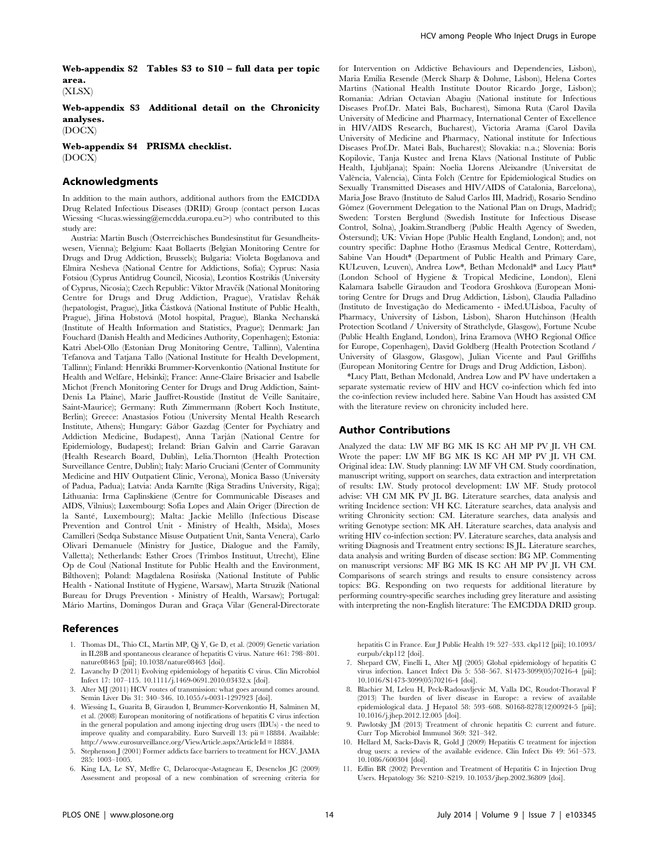Web-appendix S2 Tables S3 to S10 – full data per topic area. (XLSX)

Web-appendix S3 Additional detail on the Chronicity analyses.

(DOCX)

Web-appendix S4 PRISMA checklist. (DOCX)

## Acknowledgments

In addition to the main authors, additional authors from the EMCDDA Drug Related Infectious Diseases (DRID) Group (contact person Lucas Wiessing  $\leq$ lucas.wiessing@emcdda.europa.eu. $\geq$ ) who contributed to this study are:

Austria: Martin Busch (Österreichisches Bundesinstitut für Gesundheitswesen, Vienna); Belgium: Kaat Bollaerts (Belgian Monitoring Centre for Drugs and Drug Addiction, Brussels); Bulgaria: Violeta Bogdanova and Elmira Nesheva (National Centre for Addictions, Sofia); Cyprus: Nasia Fotsiou (Cyprus Antidrug Council, Nicosia), Leontios Kostrikis (University of Cyprus, Nicosia); Czech Republic: Viktor Mravčík (National Monitoring Centre for Drugs and Drug Addiction, Prague), Vratislav Řehák (hepatologist, Prague), Jitka Cástková (National Institute of Public Health, Prague), Jiřina Hobstová (Motol hospital, Prague), Blanka Nechanská (Institute of Health Information and Statistics, Prague); Denmark: Jan Fouchard (Danish Health and Medicines Authority, Copenhagen); Estonia: Katri Abel-Ollo (Estonian Drug Monitoring Centre, Tallinn), Valentina Tefanova and Tatjana Tallo (National Institute for Health Development, Tallinn); Finland: Henrikki Brummer-Korvenkontio (National Institute for Health and Welfare, Helsinki); France: Anne-Claire Brisacier and Isabelle Michot (French Monitoring Center for Drugs and Drug Addiction, Saint-Denis La Plaine), Marie Jauffret-Roustide (Institut de Veille Sanitaire, Saint-Maurice); Germany: Ruth Zimmermann (Robert Koch Institute, Berlin); Greece: Anastasios Fotiou (University Mental Health Research Institute, Athens); Hungary: Gábor Gazdag (Center for Psychiatry and Addiction Medicine, Budapest), Anna Tarján (National Centre for Epidemiology, Budapest); Ireland: Brian Galvin and Carrie Garavan (Health Research Board, Dublin), Lelia.Thornton (Health Protection Surveillance Centre, Dublin); Italy: Mario Cruciani (Center of Community Medicine and HIV Outpatient Clinic, Verona), Monica Basso (University of Padua, Padua); Latvia: Anda Karnīte (Riga Stradins University, Riga); Lithuania: Irma Caplinskiene (Centre for Communicable Diseases and AIDS, Vilnius); Luxembourg: Sofia Lopes and Alain Origer (Direction de la Santé, Luxembourg); Malta: Jackie Melillo (Infectious Disease Prevention and Control Unit - Ministry of Health, Msida), Moses Camilleri (Sedqa Substance Misuse Outpatient Unit, Santa Venera), Carlo Olivari Demanuele (Ministry for Justice, Dialogue and the Family, Valletta); Netherlands: Esther Croes (Trimbos Instituut, Utrecht), Eline Op de Coul (National Institute for Public Health and the Environment, Bilthoven); Poland: Magdalena Rosińska (National Institute of Public Health - National Institute of Hygiene, Warsaw), Marta Struzik (National Bureau for Drugs Prevention - Ministry of Health, Warsaw); Portugal: Mário Martins, Domingos Duran and Graça Vilar (General-Directorate

## References

- 1. Thomas DL, Thio CL, Martin MP, Qi Y, Ge D, et al. (2009) Genetic variation in IL28B and spontaneous clearance of hepatitis C virus. Nature 461: 798–801. nature08463 [pii]; 10.1038/nature08463 [doi].
- 2. Lavanchy D (2011) Evolving epidemiology of hepatitis C virus. Clin Microbiol Infect 17: 107–115. 10.1111/j.1469-0691.2010.03432.x [doi].
- 3. Alter MJ (2011) HCV routes of transmission: what goes around comes around. Semin Liver Dis 31: 340–346. 10.1055/s-0031-1297923 [doi].
- 4. Wiessing L, Guarita B, Giraudon I, Brummer-Korvenkontio H, Salminen M, et al. (2008) European monitoring of notifications of hepatitis C virus infection in the general population and among injecting drug users (IDUs) - the need to improve quality and comparability. Euro Surveill 13: pii = 18884. Available: [http://www.eurosurveillance.org/ViewArticle.aspx?ArticleId = 18884.](http://www.eurosurveillance.org/ViewArticle.aspx?ArticleId=18884)
- 5. Stephenson J (2001) Former addicts face barriers to treatment for HCV. JAMA 285: 1003–1005.
- 6. King LA, Le SY, Meffre C, Delarocque-Astagneau E, Desenclos JC (2009) Assessment and proposal of a new combination of screening criteria for

for Intervention on Addictive Behaviours and Dependencies, Lisbon), Maria Emı´lia Resende (Merck Sharp & Dohme, Lisbon), Helena Cortes Martins (National Health Institute Doutor Ricardo Jorge, Lisbon); Romania: Adrian Octavian Abagiu (National institute for Infectious Diseases Prof.Dr. Matei Bals, Bucharest), Simona Ruta (Carol Davila University of Medicine and Pharmacy, International Center of Excellence in HIV/AIDS Research, Bucharest), Victoria Arama (Carol Davila University of Medicine and Pharmacy, National institute for Infectious Diseases Prof.Dr. Matei Bals, Bucharest); Slovakia: n.a.; Slovenia: Boris Kopilovic, Tanja Kustec and Irena Klavs (National Institute of Public Health, Ljubljana); Spain: Noelia Llorens Aleixandre (Universitat de València, Valencia), Cinta Folch (Centre for Epidemiological Studies on Sexually Transmitted Diseases and HIV/AIDS of Catalonia, Barcelona), Maria Jose Bravo (Instituto de Salud Carlos III, Madrid), Rosario Sendino Gómez (Government Delegation to the National Plan on Drugs, Madrid); Sweden: Torsten Berglund (Swedish Institute for Infectious Disease Control, Solna), Joakim.Strandberg (Public Health Agency of Sweden, Östersund); UK: Vivian Hope (Public Health England, London); and, not country specific: Daphne Hotho (Erasmus Medical Centre, Rotterdam), Sabine Van Houdt\* (Department of Public Health and Primary Care, KULeuven, Leuven), Andrea Low\*, Bethan Mcdonald\* and Lucy Platt\* (London School of Hygiene & Tropical Medicine, London), Eleni Kalamara Isabelle Giraudon and Teodora Groshkova (European Monitoring Centre for Drugs and Drug Addiction, Lisbon), Claudia Palladino (Instituto de Investigação do Medicamento - iMed.ULisboa, Faculty of Pharmacy, University of Lisbon, Lisbon), Sharon Hutchinson (Health Protection Scotland / University of Strathclyde, Glasgow), Fortune Ncube (Public Health England, London), Irina Eramova (WHO Regional Office for Europe, Copenhagen), David Goldberg (Health Protection Scotland / University of Glasgow, Glasgow), Julian Vicente and Paul Griffiths (European Monitoring Centre for Drugs and Drug Addiction, Lisbon).

\*Lucy Platt, Bethan Mcdonald, Andrea Low and PV have undertaken a separate systematic review of HIV and HCV co-infection which fed into the co-infection review included here. Sabine Van Houdt has assisted CM with the literature review on chronicity included here.

## Author Contributions

Analyzed the data: LW MF BG MK IS KC AH MP PV JL VH CM. Wrote the paper: LW MF BG MK IS KC AH MP PV JL VH CM. Original idea: LW. Study planning: LW MF VH CM. Study coordination, manuscript writing, support on searches, data extraction and interpretation of results: LW. Study protocol development: LW MF. Study protocol advise: VH CM MK PV JL BG. Literature searches, data analysis and writing Incidence section: VH KC. Literature searches, data analysis and writing Chronicity section: CM. Literature searches, data analysis and writing Genotype section: MK AH. Literature searches, data analysis and writing HIV co-infection section: PV. Literature searches, data analysis and writing Diagnosis and Treatment entry sections: IS JL. Literature searches, data analysis and writing Burden of disease section: BG MP. Commenting on manuscript versions: MF BG MK IS KC AH MP PV JL VH CM. Comparisons of search strings and results to ensure consistency across topics: BG. Responding on two requests for additional literature by performing country-specific searches including grey literature and assisting with interpreting the non-English literature: The EMCDDA DRID group.

hepatitis C in France. Eur J Public Health 19: 527-533. ckp112 [pii]; 10.1093/ eurpub/ckp112 [doi].

- 7. Shepard CW, Finelli L, Alter MJ (2005) Global epidemiology of hepatitis C virus infection. Lancet Infect Dis 5: 558–567. S1473-3099(05)70216-4 [pii]; 10.1016/S1473-3099(05)70216-4 [doi].
- 8. Blachier M, Leleu H, Peck-Radosavljevic M, Valla DC, Roudot-Thoraval F (2013) The burden of liver disease in Europe: a review of available epidemiological data. J Hepatol 58: 593–608. S0168-8278(12)00924-5 [pii]; 10.1016/j.jhep.2012.12.005 [doi].
- 9. Pawlotsky JM (2013) Treatment of chronic hepatitis C: current and future. Curr Top Microbiol Immunol 369: 321–342.
- 10. Hellard M, Sacks-Davis R, Gold J (2009) Hepatitis C treatment for injection drug users: a review of the available evidence. Clin Infect Dis 49: 561–573. 10.1086/600304 [doi].
- 11. Edlin BR (2002) Prevention and Treatment of Hepatitis C in Injection Drug Users. Hepatology 36: S210–S219. 10.1053/jhep.2002.36809 [doi].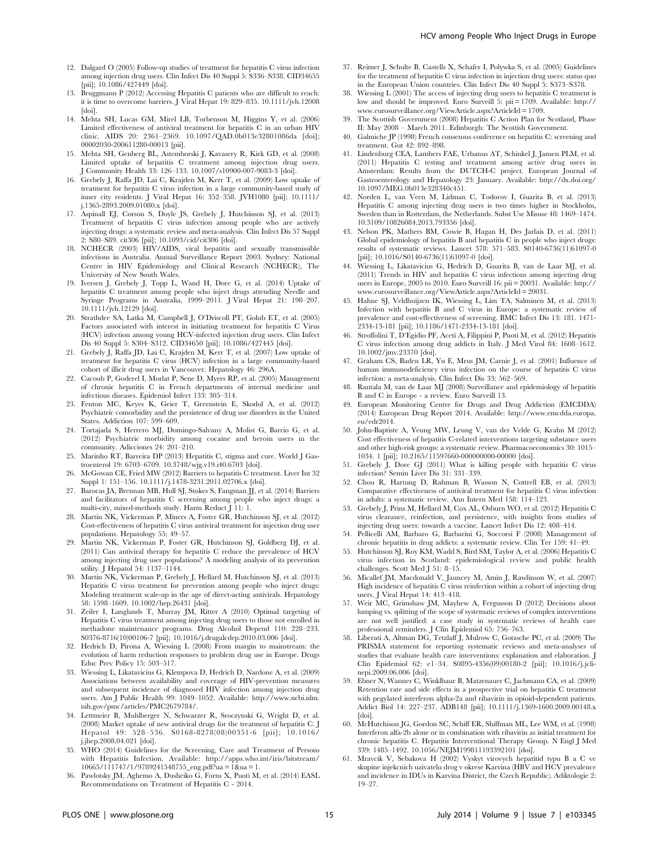- 12. Dalgard O (2005) Follow-up studies of treatment for hepatitis C virus infection among injection drug users. Clin Infect Dis 40 Suppl 5: S336–S338. CID34655 [pii]; 10.1086/427449 [doi].
- 13. Bruggmann P (2012) Accessing Hepatitis C patients who are difficult to reach: it is time to overcome barriers. J Viral Hepat 19: 829–835. 10.1111/jvh.12008 [doi].
- 14. Mehta SH, Lucas GM, Mirel LB, Torbenson M, Higgins Y, et al. (2006) Limited effectiveness of antiviral treatment for hepatitis C in an urban HIV clinic. AIDS 20: 2361–2369. 10.1097/QAD.0b013e32801086da [doi]; 00002030-200611280-00013 [pii].
- 15. Mehta SH, Genberg BL, Astemborski J, Kavasery R, Kirk GD, et al. (2008) Limited uptake of hepatitis C treatment among injection drug users. J Community Health 33: 126–133. 10.1007/s10900-007-9083-3 [doi].
- 16. Grebely J, Raffa JD, Lai C, Krajden M, Kerr T, et al. (2009) Low uptake of treatment for hepatitis C virus infection in a large community-based study of inner city residents. J Viral Hepat 16: 352–358. JVH1080 [pii]; 10.1111/ j.1365-2893.2009.01080.x [doi].
- 17. Aspinall EJ, Corson S, Doyle JS, Grebely J, Hutchinson SJ, et al. (2013) Treatment of hepatitis C virus infection among people who are actively injecting drugs: a systematic review and meta-analysis. Clin Infect Dis 57 Suppl 2: S80–S89. cit306 [pii]; 10.1093/cid/cit306 [doi].
- 18. NCHECR (2003) HIV/AIDS, viral hepatitis and sexually transmissible infections in Australia. Annual Surveillance Report 2003. Sydney: National Centre in HIV Epidemiology and Clinical Research (NCHECR), The University of New South Wales.
- 19. Iversen J, Grebely J, Topp L, Wand H, Dore G, et al. (2014) Uptake of hepatitis C treatment among people who inject drugs attending Needle and Syringe Programs in Australia, 1999–2011. J Viral Hepat 21: 198–207. 10.1111/jvh.12129 [doi].
- 20. Strathdee SA, Latka M, Campbell J, O'Driscoll PT, Golub ET, et al. (2005) Factors associated with interest in initiating treatment for hepatitis C Virus (HCV) infection among young HCV-infected injection drug users. Clin Infect Dis 40 Suppl 5: S304–S312. CID34650 [pii]; 10.1086/427445 [doi].
- 21. Grebely J, Raffa JD, Lai C, Krajden M, Kerr T, et al. (2007) Low uptake of treatment for hepatitis C virus (HCV) infection in a large community-based cohort of illicit drug users in Vancouver. Hepatology 46: 296A.
- 22. Cacoub P, Goderel I, Morlat P, Sene D, Myers RP, et al. (2005) Management of chronic hepatitis C in French departments of internal medicine and infectious diseases. Epidemiol Infect 133: 305–314.
- 23. Fenton MC, Keyes K, Geier T, Greenstein E, Skodol A, et al. (2012) Psychiatric comorbidity and the persistence of drug use disorders in the United States. Addiction 107: 599–609.
- 24. Tortajada S, Herrero MJ, Domingo-Salvany A, Molist G, Barrio G, et al. (2012) Psychiatric morbidity among cocaine and heroin users in the community. Adicciones 24: 201–210.
- 25. Marinho RT, Barreira DP (2013) Hepatitis C, stigma and cure. World J Gastroenterol 19: 6703–6709. 10.3748/wjg.v19.i40.6703 [doi].
- 26. McGowan CE, Fried MW (2012) Barriers to hepatitis C treatment. Liver Int 32 Suppl 1: 151–156. 10.1111/j.1478-3231.2011.02706.x [doi].
- 27. Barocas JA, Brennan MB, Hull SJ, Stokes S, Fangman JJ, et al. (2014) Barriers and facilitators of hepatitis C screening among people who inject drugs: a multi-city, mixed-methods study. Harm Reduct J 11: 1.
- 28. Martin NK, Vickerman P, Miners A, Foster GR, Hutchinson SJ, et al. (2012) Cost-effectiveness of hepatitis C virus antiviral treatment for injection drug user populations. Hepatology 55: 49–57.
- 29. Martin NK, Vickerman P, Foster GR, Hutchinson SJ, Goldberg DJ, et al. (2011) Can antiviral therapy for hepatitis C reduce the prevalence of HCV among injecting drug user populations? A modeling analysis of its prevention utility. J Hepatol 54: 1137–1144.
- 30. Martin NK, Vickerman P, Grebely J, Hellard M, Hutchinson SJ, et al. (2013) Hepatitis C virus treatment for prevention among people who inject drugs: Modeling treatment scale-up in the age of direct-acting antivirals. Hepatology 58: 1598–1609. 10.1002/hep.26431 [doi].
- 31. Zeiler I, Langlands T, Murray JM, Ritter A (2010) Optimal targeting of Hepatitis C virus treatment among injecting drug users to those not enrolled in methadone maintenance programs. Drug Alcohol Depend 110: 228–233. S0376-8716(10)00106-7 [pii]; 10.1016/j.drugalcdep.2010.03.006 [doi].
- 32. Hedrich D, Pirona A, Wiessing L (2008) From margin to mainstream: the evolution of harm reduction responses to problem drug use in Europe. Drugs Educ Prev Policy 15: 503–517.
- 33. Wiessing L, Likatavicius G, Klempova D, Hedrich D, Nardone A, et al. (2009) Associations between availability and coverage of HIV-prevention measures and subsequent incidence of diagnosed HIV infection among injection drug users. Am J Public Health 99: 1049–1052. Available: [http://www.ncbi.nlm.](http://www.ncbi.nlm.nih.gov/pmc/articles/PMC2679784/) [nih.gov/pmc/articles/PMC2679784/](http://www.ncbi.nlm.nih.gov/pmc/articles/PMC2679784/).
- 34. Lettmeier B, Muhlberger N, Schwarzer R, Sroczynski G, Wright D, et al. (2008) Market uptake of new antiviral drugs for the treatment of hepatitis C. J Hepatol 49: 528–536. S0168-8278(08)00351-6 [pii]; 10.1016/ j.jhep.2008.04.021 [doi].
- 35. WHO (2014) Guidelines for the Screening, Care and Treatment of Persons with Hepatitis Infection. Available: [http://apps.who.int/iris/bitstream/](http://apps.who.int/iris/bitstream/10665/111747/1/9789241548755_eng.pdf?ua=1&ua=1) [10665/111747/1/9789241548755\\_eng.pdf?ua = 1&ua = 1](http://apps.who.int/iris/bitstream/10665/111747/1/9789241548755_eng.pdf?ua=1&ua=1).
- 36. Pawlotsky JM, Aghemo A, Dusheiko G, Forns X, Puoti M, et al. (2014) EASL Recommendations on Treatment of Hepatitis C - 2014.

HCV among People Who Inject Drugs in Europe

- for the treatment of hepatitis C virus infection in injection drug users: status quo in the European Union countries. Clin Infect Dis 40 Suppl 5: S373–S378.
- Wiessing L (2001) The access of injecting drug users to hepatitis C treatment is low and should be improved. Euro Surveill 5: pii = 1709. Available: [http://](http://www.eurosurveillance.org/ViewArticle.aspx?ArticleId=1709) [www.eurosurveillance.org/ViewArticle.aspx?ArticleId = 1709.](http://www.eurosurveillance.org/ViewArticle.aspx?ArticleId=1709)
- 39. The Scottish Government (2008) Hepatitis C Action Plan for Scotland, Phase II: May 2008 – March 2011. Edinburgh: The Scottish Government.
- 40. Galmiche JP (1998) French consensus conference on hepatitis C: screening and treatment. Gut 42: 892–898.
- 41. Lindenburg CEA, Lambers FAE, Urbanus AT, Schinkel J, Jansen PLM, et al. (2011) Hepatitis C testing and treatment among active drug users in Amsterdam: Results from the DUTCH-C project. European Journal of Gastroenterology and Hepatology 23: January. Available: [http://dx.doi.org/](http://dx.doi.org/10.1097/MEG.0b013e328340c451) [10.1097/MEG.0b013e328340c451.](http://dx.doi.org/10.1097/MEG.0b013e328340c451)
- 42. Norden L, van Veen M, Lidman C, Todorov I, Guarita B, et al. (2013) Hepatitis C among injecting drug users is two times higher in Stockholm, Sweden than in Rotterdam, the Netherlands. Subst Use Misuse 48: 1469–1474. 10.3109/10826084.2013.793356 [doi].
- 43. Nelson PK, Mathers BM, Cowie B, Hagan H, Des Jarlais D, et al. (2011) Global epidemiology of hepatitis B and hepatitis C in people who inject drugs: results of systematic reviews. Lancet 378: 571–583. S0140-6736(11)61097-0 [pii]; 10.1016/S0140-6736(11)61097-0 [doi].
- 44. Wiessing L, Likatavicius G, Hedrich D, Guarita B, van de Laar MJ, et al. (2011) Trends in HIV and hepatitis C virus infections among injecting drug users in Europe, 2005 to 2010. Euro Surveill 16: pii = 20031. Available: [http://](http://www.eurosurveillance.org/ViewArticle.aspx?ArticleId=20031) [www.eurosurveillance.org/ViewArticle.aspx?ArticleId = 20031](http://www.eurosurveillance.org/ViewArticle.aspx?ArticleId=20031).
- 45. Hahne SJ, Veldhuijzen IK, Wiessing L, Lim TA, Salminen M, et al. (2013) Infection with hepatitis B and C virus in Europe: a systematic review of prevalence and cost-effectiveness of screening. BMC Infect Dis 13: 181. 1471- 2334-13-181 [pii]; 10.1186/1471-2334-13-181 [doi].
- 46. Stroffolini T, D'Egidio PF, Aceti A, Filippini P, Puoti M, et al. (2012) Hepatitis C virus infection among drug addicts in Italy. J Med Virol 84: 1608–1612. 10.1002/jmv.23370 [doi].
- 47. Graham CS, Baden LR, Yu E, Mrus JM, Carnie J, et al. (2001) Influence of human immunodeficiency virus infection on the course of hepatitis C virus infection: a meta-analysis. Clin Infect Dis 33: 562–569.
- 48. Rantala M, van de Laar MJ (2008) Surveillance and epidemiology of hepatitis B and C in Europe - a review. Euro Surveill 13.
- 49. European Monitoring Centre for Drugs and Drug Addiction (EMCDDA) (2014) European Drug Report 2014. Available: [http://www.emcdda.europa.](http://www.emcdda.europa.eu/edr2014) [eu/edr2014.](http://www.emcdda.europa.eu/edr2014)
- 50. John-Baptiste A, Yeung MW, Leung V, van der Velde G, Krahn M (2012) Cost effectiveness of hepatitis C-related interventions targeting substance users and other high-risk groups: a systematic review. Pharmacoeconomics 30: 1015– 1034. 1 [pii]; 10.2165/11597660-000000000-00000 [doi].
- 51. Grebely J, Dore GJ (2011) What is killing people with hepatitis C virus infection? Semin Liver Dis 31: 331–339.
- 52. Chou R, Hartung D, Rahman B, Wasson N, Cottrell EB, et al. (2013) Comparative effectiveness of antiviral treatment for hepatitis C virus infection in adults: a systematic review. Ann Intern Med 158: 114–123.
- 53. Grebely J, Prins M, Hellard M, Cox AL, Osburn WO, et al. (2012) Hepatitis C virus clearance, reinfection, and persistence, with insights from studies of injecting drug users: towards a vaccine. Lancet Infect Dis 12: 408–414.
- 54. Pellicelli AM, Barbaro G, Barbarini G, Soccorsi F (2008) Management of chronic hepatitis in drug addicts: a systematic review. Clin Ter 159: 41–49.
- 55. Hutchinson SJ, Roy KM, Wadd S, Bird SM, Taylor A, et al. (2006) Hepatitis C virus infection in Scotland: epidemiological review and public health challenges. Scott Med J 51: 8–15.
- 56. Micallef JM, Macdonald V, Jauncey M, Amin J, Rawlinson W, et al. (2007) High incidence of hepatitis C virus reinfection within a cohort of injecting drug users. J Viral Hepat 14: 413–418.
- 57. Weir MC, Grimshaw JM, Mayhew A, Fergusson D (2012) Decisions about lumping vs. splitting of the scope of systematic reviews of complex interventions are not well justified: a case study in systematic reviews of health care professional reminders. J Clin Epidemiol 65: 756–763.
- 58. Liberati A, Altman DG, Tetzlaff J, Mulrow C, Gotzsche PC, et al. (2009) The PRISMA statement for reporting systematic reviews and meta-analyses of studies that evaluate health care interventions: explanation and elaboration. J Clin Epidemiol 62: e1–34. S0895-4356(09)00180-2 [pii]; 10.1016/j.jclinepi.2009.06.006 [doi].
- 59. Ebner N, Wanner C, Winklbaur B, Matzenauer C, Jachmann CA, et al. (2009) Retention rate and side effects in a prospective trial on hepatitis C treatment with pegylated interferon alpha-2a and ribavirin in opioid-dependent patients. Addict Biol 14: 227–237. ADB148 [pii]; 10.1111/j.1369-1600.2009.00148.x [doi].
- 60. McHutchison JG, Gordon SC, Schiff ER, Shiffman ML, Lee WM, et al. (1998) Interferon alfa-2b alone or in combination with ribavirin as initial treatment for chronic hepatitis C. Hepatitis Interventional Therapy Group. N Engl J Med 339: 1485–1492. 10.1056/NEJM199811193392101 [doi].
- 61. Mravcik V, Sebakova H (2002) Vyskyt virovych hepatitid typu B a C ve skupine injekcnich uzivatelu drog v okrese Karvina (HBV and HCV prevalence and incidence in IDUs in Karvina District, the Czech Republic). Adiktologie 2: 19–27.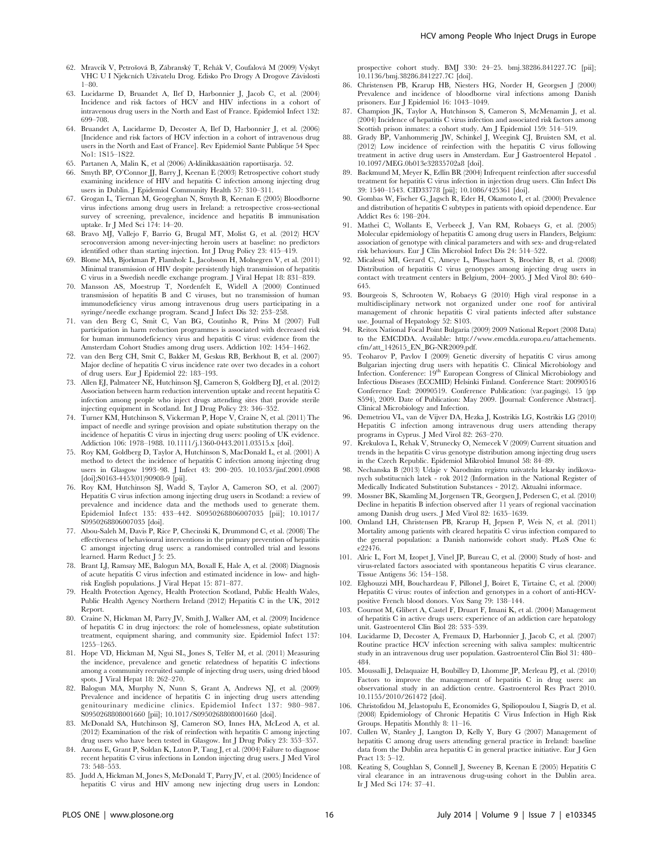- 62. Mravcík V, Petrošová B, Zábranský T, Rehák V, Coufalová M (2009) Výskyt VHC U I Njekcních Uživatelu Drog. Edisko Pro Drogy A Drogove Závislosti 1–80.
- 63. Lucidarme D, Bruandet A, Ilef D, Harbonnier J, Jacob C, et al. (2004) Incidence and risk factors of HCV and HIV infections in a cohort of intravenous drug users in the North and East of France. Epidemiol Infect 132: 699–708.
- 64. Bruandet A, Lucidarme D, Decoster A, Ilef D, Harbonnier J, et al. (2006) [Incidence and risk factors of HCV infection in a cohort of intravenous drug users in the North and East of France]. Rev Epidemiol Sante Publique 54 Spec No1: 1S15–1S22.
- 65. Partanen A, Malin K, et al (2006) A-klinikkasäätiön raportiisarja. 52.
- 66. Smyth BP, O'Connor JJ, Barry J, Keenan E (2003) Retrospective cohort study examining incidence of HIV and hepatitis C infection among injecting drug users in Dublin. J Epidemiol Community Health 57: 310–311.
- 67. Grogan L, Tiernan M, Geogeghan N, Smyth B, Keenan E (2005) Bloodborne virus infections among drug users in Ireland: a retrospective cross-sectional survey of screening, prevalence, incidence and hepatitis B immunisation uptake. Ir J Med Sci 174: 14–20.
- 68. Bravo MJ, Vallejo F, Barrio G, Brugal MT, Molist G, et al. (2012) HCV seroconversion among never-injecting heroin users at baseline: no predictors identified other than starting injection. Int J Drug Policy 23: 415–419.
- 69. Blome MA, Bjorkman P, Flamholc L, Jacobsson H, Molnegren V, et al. (2011) Minimal transmission of HIV despite persistently high transmission of hepatitis C virus in a Swedish needle exchange program. J Viral Hepat 18: 831–839.
- 70. Mansson AS, Moestrup T, Nordenfelt E, Widell A (2000) Continued transmission of hepatitis B and C viruses, but no transmission of human immunodeficiency virus among intravenous drug users participating in a syringe/needle exchange program. Scand J Infect Dis 32: 253–258.
- 71. van den Berg C, Smit C, Van BG, Coutinho R, Prins M (2007) Full participation in harm reduction programmes is associated with decreased risk for human immunodeficiency virus and hepatitis C virus: evidence from the Amsterdam Cohort Studies among drug users. Addiction 102: 1454–1462.
- 72. van den Berg CH, Smit C, Bakker M, Geskus RB, Berkhout B, et al. (2007) Major decline of hepatitis C virus incidence rate over two decades in a cohort of drug users. Eur J Epidemiol 22: 183–193.
- 73. Allen EJ, Palmateer NE, Hutchinson SJ, Cameron S, Goldberg DJ, et al. (2012) Association between harm reduction intervention uptake and recent hepatitis C infection among people who inject drugs attending sites that provide sterile injecting equipment in Scotland. Int J Drug Policy 23: 346–352.
- 74. Turner KM, Hutchinson S, Vickerman P, Hope V, Craine N, et al. (2011) The impact of needle and syringe provision and opiate substitution therapy on the incidence of hepatitis C virus in injecting drug users: pooling of UK evidence. Addiction 106: 1978–1988. 10.1111/j.1360-0443.2011.03515.x [doi].
- 75. Roy KM, Goldberg D, Taylor A, Hutchinson S, MacDonald L, et al. (2001) A method to detect the incidence of hepatitis C infection among injecting drug users in Glasgow 1993–98. J Infect 43: 200–205. 10.1053/jinf.2001.0908 [doi];S0163-4453(01)90908-9 [pii].
- 76. Roy KM, Hutchinson SJ, Wadd S, Taylor A, Cameron SO, et al. (2007) Hepatitis C virus infection among injecting drug users in Scotland: a review of prevalence and incidence data and the methods used to generate them. Epidemiol Infect 135: 433–442. S0950268806007035 [pii]; 10.1017/ S0950268806007035 [doi].
- 77. Abou-Saleh M, Davis P, Rice P, Checinski K, Drummond C, et al. (2008) The effectiveness of behavioural interventions in the primary prevention of hepatitis C amongst injecting drug users: a randomised controlled trial and lessons learned. Harm Reduct I 5: 25.
- 78. Brant LJ, Ramsay ME, Balogun MA, Boxall E, Hale A, et al. (2008) Diagnosis of acute hepatitis C virus infection and estimated incidence in low- and highrisk English populations. J Viral Hepat 15: 871–877.
- 79. Health Protection Agency, Health Protection Scotland, Public Health Wales, Public Health Agency Northern Ireland (2012) Hepatitis C in the UK, 2012 Report.
- 80. Craine N, Hickman M, Parry JV, Smith J, Walker AM, et al. (2009) Incidence of hepatitis C in drug injectors: the role of homelessness, opiate substitution treatment, equipment sharing, and community size. Epidemiol Infect 137: 1255–1265.
- 81. Hope VD, Hickman M, Ngui SL, Jones S, Telfer M, et al. (2011) Measuring the incidence, prevalence and genetic relatedness of hepatitis C infections among a community recruited sample of injecting drug users, using dried blood spots. J Viral Hepat 18: 262–270.
- 82. Balogun MA, Murphy N, Nunn S, Grant A, Andrews NJ, et al. (2009) Prevalence and incidence of hepatitis C in injecting drug users attending genitourinary medicine clinics. Epidemiol Infect 137: 980–987. S0950268808001660 [pii]; 10.1017/S0950268808001660 [doi].
- 83. McDonald SA, Hutchinson SJ, Cameron SO, Innes HA, McLeod A, et al. (2012) Examination of the risk of reinfection with hepatitis C among injecting drug users who have been tested in Glasgow. Int J Drug Policy 23: 353–357.
- 84. Aarons E, Grant P, Soldan K, Luton P, Tang J, et al. (2004) Failure to diagnose recent hepatitis C virus infections in London injecting drug users. J Med Virol 73: 548–553.
- 85. Judd A, Hickman M, Jones S, McDonald T, Parry JV, et al. (2005) Incidence of hepatitis C virus and HIV among new injecting drug users in London:

prospective cohort study. BMJ 330: 24–25. bmj.38286.841227.7C [pii]; 10.1136/bmj.38286.841227.7C [doi].

- 86. Christensen PB, Krarup HB, Niesters HG, Norder H, Georgsen J (2000) Prevalence and incidence of bloodborne viral infections among Danish prisoners. Eur J Epidemiol 16: 1043–1049.
- 87. Champion JK, Taylor A, Hutchinson S, Cameron S, McMenamin J, et al. (2004) Incidence of hepatitis C virus infection and associated risk factors among Scottish prison inmates: a cohort study. Am J Epidemiol 159: 514–519.
- 88. Grady BP, Vanhommerig JW, Schinkel J, Weegink CJ, Bruisten SM, et al. (2012) Low incidence of reinfection with the hepatitis C virus following treatment in active drug users in Amsterdam. Eur J Gastroenterol Hepatol . 10.1097/MEG.0b013e32835702a8 [doi].
- 89. Backmund M, Meyer K, Edlin BR (2004) Infrequent reinfection after successful treatment for hepatitis C virus infection in injection drug users. Clin Infect Dis 39: 1540–1543. CID33778 [pii]; 10.1086/425361 [doi].
- 90. Gombas W, Fischer G, Jagsch R, Eder H, Okamoto I, et al. (2000) Prevalence and distribution of hepatitis C subtypes in patients with opioid dependence. Eur Addict Res 6: 198–204.
- 91. Mathei C, Wollants E, Verbeeck J, Van RM, Robaeys G, et al. (2005) Molecular epidemiology of hepatitis C among drug users in Flanders, Belgium: association of genotype with clinical parameters and with sex- and drug-related risk behaviours. Eur J Clin Microbiol Infect Dis 24: 514–522.
- 92. Micalessi MI, Gerard C, Ameye L, Plasschaert S, Brochier B, et al. (2008) Distribution of hepatitis C virus genotypes among injecting drug users in contact with treatment centers in Belgium, 2004–2005. J Med Virol 80: 640– 645.
- 93. Bourgeois S, Schrooten W, Robaeys G (2010) High viral response in a multidisciplinary network not organized under one roof for antiviral management of chronic hepatitis  $\check{C}$  viral patients infected after substance use. Journal of Hepatology 52: S103.
- 94. Reitox National Focal Point Bulgaria (2009) 2009 National Report (2008 Data) to the EMCDDA. Available: [http://www.emcdda.europa.eu/attachements.](http://www.emcdda.europa.eu/attachements.cfm/att_142615_EN_BG-NR2009.pdf) [cfm/att\\_142615\\_EN\\_BG-NR2009.pdf.](http://www.emcdda.europa.eu/attachements.cfm/att_142615_EN_BG-NR2009.pdf)
- 95. Teoharov P, Pavlov I (2009) Genetic diversity of hepatitis C virus among Bulgarian injecting drug users with hepatitis C. Clinical Microbiology and Infection. Conference: 19<sup>th</sup> European Congress of Clinical Microbiology and Infectious Diseases (ECCMID) Helsinki Finland. Conference Start: 20090516 Conference End: 20090519. Conference Publication: (var.pagings). 15 (pp S594), 2009. Date of Publication: May 2009. [Journal: Conference Abstract]. Clinical Microbiology and Infection.
- 96. Demetriou VL, van de Vijver DA, Hezka J, Kostrikis LG, Kostrikis LG (2010) Hepatitis C infection among intravenous drug users attending therapy programs in Cyprus. J Med Virol 82: 263–270.
- 97. Krekulova L, Rehak V, Strunecky O, Nemecek V (2009) Current situation and trends in the hepatitis C virus genotype distribution among injecting drug users in the Czech Republic. Epidemiol Mikrobiol Imunol 58: 84–89.
- 98. Nechanska B (2013) Udaje v Narodnim registru uzivatelu lekarsky indikovanych substitucnich latek - rok 2012 (Information in the National Register of Medically Indicated Substitution Substances - 2012). Aktualni informace.
- 99. Mossner BK, Skamling M, Jorgensen TR, Georgsen J, Pedersen C, et al. (2010) Decline in hepatitis B infection observed after 11 years of regional vaccination among Danish drug users. J Med Virol 82: 1635–1639.
- 100. Omland LH, Christensen PB, Krarup H, Jepsen P, Weis N, et al. (2011) Mortality among patients with cleared hepatitis C virus infection compared to the general population: a Danish nationwide cohort study. PLoS One 6: e22476.
- 101. Alric L, Fort M, Izopet J, Vinel JP, Bureau C, et al. (2000) Study of host- and virus-related factors associated with spontaneous hepatitis C virus clearance. Tissue Antigens 56: 154–158.
- 102. Elghouzzi MH, Bouchardeau F, Pillonel J, Boiret E, Tirtaine C, et al. (2000) Hepatitis C virus: routes of infection and genotypes in a cohort of anti-HCVpositive French blood donors. Vox Sang 79: 138–144.
- 103. Cournot M, Glibert A, Castel F, Druart F, Imani K, et al. (2004) Management of hepatitis C in active drugs users: experience of an addiction care hepatology unit. Gastroenterol Clin Biol 28: 533–539.
- 104. Lucidarme D, Decoster A, Fremaux D, Harbonnier J, Jacob C, et al. (2007) Routine practice HCV infection screening with saliva samples: multicentric study in an intravenous drug user population. Gastroenterol Clin Biol 31: 480– 484.
- 105. Moussalli J, Delaquaize H, Boubilley D, Lhomme JP, Merleau PJ, et al. (2010) Factors to improve the management of hepatitis C in drug users: an observational study in an addiction centre. Gastroenterol Res Pract 2010. 10.1155/2010/261472 [doi].
- 106. Christofidou M, Jelastopulu E, Economides G, Spiliopoulou I, Siagris D, et al. (2008) Epidemiology of Chronic Hepatitis C Virus Infection in High Risk Groups. Hepatitis Monthly 8: 11–16.
- 107. Cullen W, Stanley J, Langton D, Kelly Y, Bury G (2007) Management of hepatitis C among drug users attending general practice in Ireland: baseline data from the Dublin area hepatitis C in general practice initiative. Eur J Gen Pract 13: 5–12.
- 108. Keating S, Coughlan S, Connell J, Sweeney B, Keenan E (2005) Hepatitis C viral clearance in an intravenous drug-using cohort in the Dublin area. Ir J Med Sci 174: 37–41.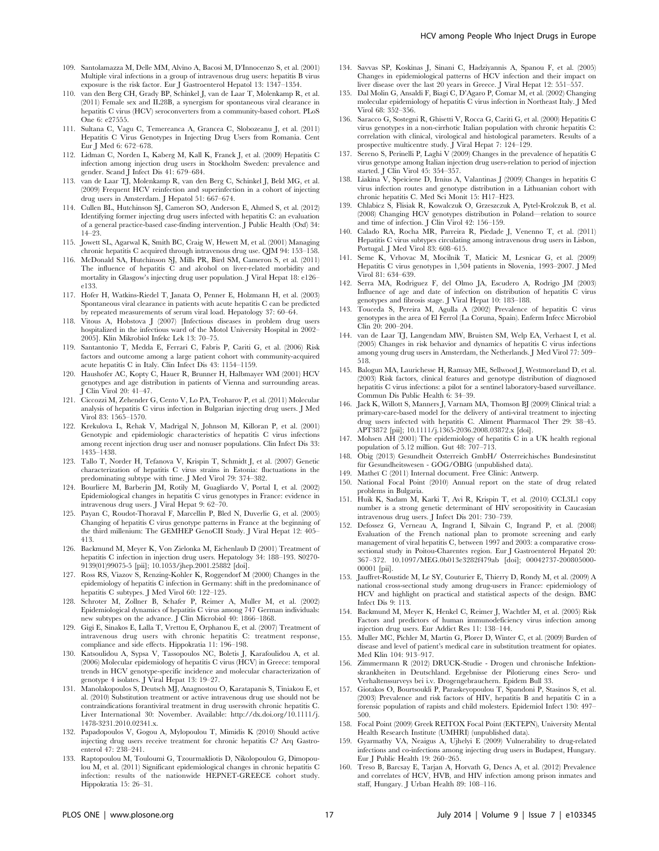- 109. Santolamazza M, Delle MM, Alvino A, Bacosi M, D'Innocenzo S, et al. (2001) Multiple viral infections in a group of intravenous drug users: hepatitis B virus exposure is the risk factor. Eur J Gastroenterol Hepatol 13: 1347–1354.
- 110. van den Berg CH, Grady BP, Schinkel J, van de Laar T, Molenkamp R, et al. (2011) Female sex and IL28B, a synergism for spontaneous viral clearance in hepatitis C virus (HCV) seroconverters from a community-based cohort. PLoS One 6: e27555.
- 111. Sultana C, Vagu C, Temereanca A, Grancea C, Slobozeanu J, et al. (2011) Hepatitis C Virus Genotypes in Injecting Drug Users from Romania. Cent Eur J Med 6: 672–678.
- 112. Lidman C, Norden L, Kaberg M, Kall K, Franck J, et al. (2009) Hepatitis C infection among injection drug users in Stockholm Sweden: prevalence and gender. Scand J Infect Dis 41: 679–684.
- 113. van de Laar TJ, Molenkamp R, van den Berg C, Schinkel J, Beld MG, et al. (2009) Frequent HCV reinfection and superinfection in a cohort of injecting drug users in Amsterdam. J Hepatol 51: 667–674.
- 114. Cullen BL, Hutchinson SJ, Cameron SO, Anderson E, Ahmed S, et al. (2012) Identifying former injecting drug users infected with hepatitis C: an evaluation of a general practice-based case-finding intervention. J Public Health (Oxf) 34: 14–23.
- 115. Jowett SL, Agarwal K, Smith BC, Craig W, Hewett M, et al. (2001) Managing chronic hepatitis C acquired through intravenous drug use. QJM 94: 153–158.
- 116. McDonald SA, Hutchinson SJ, Mills PR, Bird SM, Cameron S, et al. (2011) The influence of hepatitis C and alcohol on liver-related morbidity and mortality in Glasgow's injecting drug user population. J Viral Hepat 18: e126– e133.
- 117. Hofer H, Watkins-Riedel T, Janata O, Penner E, Holzmann H, et al. (2003) Spontaneous viral clearance in patients with acute hepatitis C can be predicted by repeated measurements of serum viral load. Hepatology 37: 60–64.
- 118. Vitous A, Hobstova J (2007) [Infectious diseases in problem drug users hospitalized in the infectious ward of the Motol University Hospital in 2002– 2005]. Klin Mikrobiol Infekc Lek 13: 70–75.
- 119. Santantonio T, Medda E, Ferrari C, Fabris P, Cariti G, et al. (2006) Risk factors and outcome among a large patient cohort with community-acquired acute hepatitis C in Italy. Clin Infect Dis 43: 1154–1159.
- 120. Haushofer AC, Kopty C, Hauer R, Brunner H, Halbmayer WM (2001) HCV genotypes and age distribution in patients of Vienna and surrounding areas. J Clin Virol 20: 41–47.
- 121. Ciccozzi M, Zehender G, Cento V, Lo PA, Teoharov P, et al. (2011) Molecular analysis of hepatitis C virus infection in Bulgarian injecting drug users. J Med Virol 83: 1565–1570.
- 122. Krekulova L, Rehak V, Madrigal N, Johnson M, Killoran P, et al. (2001) Genotypic and epidemiologic characteristics of hepatitis C virus infections among recent injection drug user and nonuser populations. Clin Infect Dis 33: 1435–1438.
- 123. Tallo T, Norder H, Tefanova V, Krispin T, Schmidt J, et al. (2007) Genetic characterization of hepatitis C virus strains in Estonia: fluctuations in the predominating subtype with time. J Med Virol 79: 374–382.
- 124. Bourliere M, Barberin JM, Rotily M, Guagliardo V, Portal I, et al. (2002) Epidemiological changes in hepatitis C virus genotypes in France: evidence in intravenous drug users. J Viral Hepat 9: 62–70.
- 125. Payan C, Roudot-Thoraval F, Marcellin P, Bled N, Duverlie G, et al. (2005) Changing of hepatitis C virus genotype patterns in France at the beginning of the third millenium: The GEMHEP GenoCII Study. J Viral Hepat 12: 405– 413.
- 126. Backmund M, Meyer K, Von Zielonka M, Eichenlaub D (2001) Treatment of hepatitis C infection in injection drug users. Hepatology 34: 188–193. S0270- 9139(01)99075-5 [pii]; 10.1053/jhep.2001.25882 [doi].
- 127. Ross RS, Viazov S, Renzing-Kohler K, Roggendorf M (2000) Changes in the epidemiology of hepatitis C infection in Germany: shift in the predominance of hepatitis C subtypes. J Med Virol 60: 122–125.
- 128. Schroter M, Zollner B, Schafer P, Reimer A, Muller M, et al. (2002) Epidemiological dynamics of hepatitis C virus among 747 German individuals: new subtypes on the advance. J Clin Microbiol 40: 1866–1868.
- 129. Gigi E, Sinakos E, Lalla T, Vrettou E, Orphanou E, et al. (2007) Treatment of intravenous drug users with chronic hepatitis C: treatment response, compliance and side effects. Hippokratia 11: 196–198.
- 130. Katsoulidou A, Sypsa V, Tassopoulos NC, Boletis J, Karafoulidou A, et al. (2006) Molecular epidemiology of hepatitis C virus (HCV) in Greece: temporal trends in HCV genotype-specific incidence and molecular characterization of genotype 4 isolates. J Viral Hepat 13: 19–27.
- 131. Manolakopoulos S, Deutsch MJ, Anagnostou O, Karatapanis S, Tiniakou E, et al. (2010) Substitution treatment or active intravenous drug use should not be contraindications forantiviral treatment in drug userswith chronic hepatitis C. Liver International 30: November. Available: [http://dx.doi.org/10.1111/j.](http://dx.doi.org/10.1111/j.1478-3231.2010.02341.x) [1478-3231.2010.02341.x](http://dx.doi.org/10.1111/j.1478-3231.2010.02341.x).
- 132. Papadopoulos V, Gogou A, Mylopoulou T, Mimidis K (2010) Should active injecting drug users receive treatment for chronic hepatitis C? Arq Gastroenterol 47: 238–241.
- 133. Raptopoulou M, Touloumi G, Tzourmakliotis D, Nikolopoulou G, Dimopoulou M, et al. (2011) Significant epidemiological changes in chronic hepatitis C infection: results of the nationwide HEPNET-GREECE cohort study. Hippokratia 15: 26–31.
- 134. Savvas SP, Koskinas J, Sinani C, Hadziyannis A, Spanou F, et al. (2005) Changes in epidemiological patterns of HCV infection and their impact on liver disease over the last 20 years in Greece. J Viral Hepat 12: 551–557.
- 135. Dal Molin G, Ansaldi F, Biagi C, D'Agaro P, Comar M, et al. (2002) Changing molecular epidemiology of hepatitis C virus infection in Northeast Italy. J Med Virol 68: 352–356.
- 136. Saracco G, Sostegni R, Ghisetti V, Rocca G, Cariti G, et al. (2000) Hepatitis C virus genotypes in a non-cirrhotic Italian population with chronic hepatitis C: correlation with clinical, virological and histological parameters. Results of a prospective multicentre study. J Viral Hepat 7: 124–129.
- 137. Sereno S, Perinelli P, Laghi V (2009) Changes in the prevalence of hepatitis C virus genotype among Italian injection drug users-relation to period of injection started. J Clin Virol 45: 354–357.
- 138. Liakina V, Speiciene D, Irnius A, Valantinas J (2009) Changes in hepatitis C virus infection routes and genotype distribution in a Lithuanian cohort with chronic hepatitis C. Med Sci Monit 15: H17–H23.
- 139. Chlabicz S, Flisiak R, Kowalczuk O, Grzeszczuk A, Pytel-Krolczuk B, et al. (2008) Changing HCV genotypes distribution in Poland—relation to source and time of infection. J Clin Virol 42: 156–159.
- 140. Calado RA, Rocha MR, Parreira R, Piedade J, Venenno T, et al. (2011) Hepatitis C virus subtypes circulating among intravenous drug users in Lisbon, Portugal. J Med Virol 83: 608–615.
- 141. Seme K, Vrhovac M, Mocilnik T, Maticic M, Lesnicar G, et al. (2009) Hepatitis C virus genotypes in 1,504 patients in Slovenia, 1993–2007. J Med Virol 81: 634–639.
- 142. Serra MA, Rodriguez F, del Olmo JA, Escudero A, Rodrigo JM (2003) Influence of age and date of infection on distribution of hepatitis C virus genotypes and fibrosis stage. J Viral Hepat 10: 183–188.
- 143. Touceda S, Pereira M, Agulla A (2002) Prevalence of hepatitis C virus genotypes in the area of El Ferrol (La Coruna, Spain). Enferm Infecc Microbiol Clin 20: 200–204.
- 144. van de Laar TJ, Langendam MW, Bruisten SM, Welp EA, Verhaest I, et al. (2005) Changes in risk behavior and dynamics of hepatitis C virus infections among young drug users in Amsterdam, the Netherlands. J Med Virol 77: 509– 518.
- 145. Balogun MA, Laurichesse H, Ramsay ME, Sellwood J, Westmoreland D, et al. (2003) Risk factors, clinical features and genotype distribution of diagnosed hepatitis C virus infections: a pilot for a sentinel laboratory-based surveillance. Commun Dis Public Health 6: 34–39.
- 146. Jack K, Willott S, Manners J, Varnam MA, Thomson BJ (2009) Clinical trial: a primary-care-based model for the delivery of anti-viral treatment to injecting drug users infected with hepatitis C. Aliment Pharmacol Ther 29: 38–45. APT3872 [pii]; 10.1111/j.1365-2036.2008.03872.x [doi].
- 147. Mohsen AH (2001) The epidemiology of hepatitis  $\overline{C}$  in a UK health regional population of 5.12 million. Gut 48: 707–713.
- 148. Öbig (2013) Gesundheit Österreich GmbH/ Österreichisches Bundesinstitut für Gesundheitswesen - GÖG/ÖBIG (unpublished data).
- 149. Matheï C (2011) Internal document. Free Clinic: Antwerp.
- 150. National Focal Point (2010) Annual report on the state of drug related problems in Bulgaria.
- 151. Huik K, Sadam M, Karki T, Avi R, Krispin T, et al. (2010) CCL3L1 copy number is a strong genetic determinant of HIV seropositivity in Caucasian intravenous drug users. J Infect Dis 201: 730–739.
- 152. Defossez G, Verneau A, Ingrand I, Silvain C, Ingrand P, et al. (2008) Evaluation of the French national plan to promote screening and early management of viral hepatitis C, between 1997 and 2003: a comparative crosssectional study in Poitou-Charentes region. Eur J Gastroenterol Hepatol 20: 367–372. 10.1097/MEG.0b013e3282f479ab [doi]; 00042737-200805000- 00001 [pii].
- 153. Jauffret-Roustide M, Le SY, Couturier E, Thierry D, Rondy M, et al. (2009) A national cross-sectional study among drug-users in France: epidemiology of HCV and highlight on practical and statistical aspects of the design. BMC Infect Dis 9: 113.
- 154. Backmund M, Meyer K, Henkel C, Reimer J, Wachtler M, et al. (2005) Risk Factors and predictors of human immunodeficiency virus infection among injection drug users. Eur Addict Res 11: 138–144.
- 155. Muller MC, Pichler M, Martin G, Plorer D, Winter C, et al. (2009) Burden of disease and level of patient's medical care in substitution treatment for opiates. Med Klin 104: 913–917.
- 156. Zimmermann R (2012) DRUCK-Studie Drogen und chronische Infektionskrankheiten in Deutschland. Ergebnisse der Pilotierung eines Sero- und Verhaltenssurveys bei i.v. Drogengebrauchern. Epidem Bull 33.
- 157. Giotakos O, Bourtsoukli P, Paraskeyopoulou T, Spandoni P, Stasinos S, et al. (2003) Prevalence and risk factors of HIV, hepatitis B and hepatitis C in a forensic population of rapists and child molesters. Epidemiol Infect 130: 497– 500.
- 158. Focal Point (2009) Greek REITOX Focal Point (EKTEPN), University Mental Health Research Institute (UMHRI) (unpublished data).
- 159. Gyarmathy VA, Neaigus A, Ujhelyi E (2009) Vulnerability to drug-related infections and co-infections among injecting drug users in Budapest, Hungary. Eur J Public Health 19: 260–265.
- 160. Treso B, Barcsay E, Tarjan A, Horvath G, Dencs A, et al. (2012) Prevalence and correlates of HCV, HVB, and HIV infection among prison inmates and staff, Hungary. J Urban Health 89: 108–116.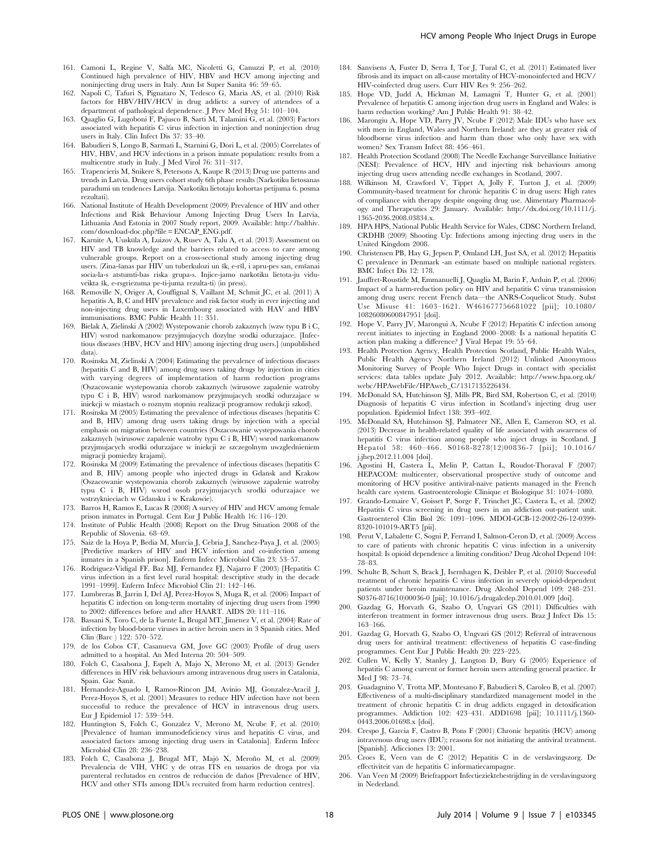- 161. Camoni L, Regine V, Salfa MC, Nicoletti G, Canuzzi P, et al. (2010) Continued high prevalence of HIV, HBV and HCV among injecting and noninjecting drug users in Italy. Ann Ist Super Sanita 46: 59–65.
- 162. Napoli C, Tafuri S, Pignataro N, Tedesco G, Maria AS, et al. (2010) Risk factors for HBV/HIV/HCV in drug addicts: a survey of attendees of a department of pathological dependence. J Prev Med Hyg 51: 101–104.
- 163. Quaglio G, Lugoboni F, Pajusco B, Sarti M, Talamini G, et al. (2003) Factors associated with hepatitis C virus infection in injection and noninjection drug users in Italy. Clin Infect Dis 37: 33–40.
- 164. Babudieri S, Longo B, Sarmati L, Starnini G, Dori L, et al. (2005) Correlates of HIV, HBV, and HCV infections in a prison inmate population: results from a multicentre study in Italy. J Med Virol 76: 311–317.
- 165. Trapencieris M, Snikere S, Petersons A, Kaupe R (2013) Drug use patterns and trends in Latvia. Drug users cohort study 6th phase results (Narkotiku lietosanas paradumi un tendences Latvija. Narkotiku lietotaju kohortas petijuma 6. posma rezultati).
- 166. National Institute of Health Development (2009) Prevalence of HIV and other Infections and Risk Behaviour Among Injecting Drug Users In Latvia, Lithuania And Estonia in 2007 Study report, 2009. Available: [http://balthiv.](http://balthiv.com/download-doc.php?file=ENCAP_ENG.pdf) [com/download-doc.php?file = ENCAP\\_ENG.pdf](http://balthiv.com/download-doc.php?file=ENCAP_ENG.pdf).
- 167. Karnite A, Uusküla A, Luizov A, Rusev A, Talu A, et al. (2013) Assessment on HIV and TB knowledge and the barriers related to access to care among vulnerable groups. Report on a cross-sectional study among injecting drug users. (Zina-šanas par HIV un tuberkulozi un šk, e-ršl, i apru-pes san, emšanai socia-la-s atstumti-bas riska grupa-s. Injice-jamo narkotiku lietota-ju viduveikta šk, e-rsgriezuma pe-ti-juma rezulta-ti) (in press).
- 168. Removille N, Origer A, Couffignal S, Vaillant M, Schmit JC, et al. (2011) A hepatitis A, B, C and HIV prevalence and risk factor study in ever injecting and non-injecting drug users in Luxembourg associated with HAV and HBV immunisations. BMC Public Health 11: 351.
- 169. Bielak A, Zielinski A (2002) Wystepowanie chorob zakaznych (wzw typu B i C, HIV) wsrod narkomanow przyjmujacych dozylne srodki odurzajace. [Infectious diseases (HBV, HCV and HIV) among injecting drug users.] (unpublished data).
- 170. Rosinska M, Zielinski A (2004) Estimating the prevalence of infectious diseases (hepatitis C and B, HIV) among drug users taking drugs by injection in cities with varying degrees of implementation of harm reduction programs (Oszacowanie wystepowania chorob zakaznych (wirusowe zapalenie watroby typu C i B, HIV) wsrod narkomanow przyjmujacych srodki odurzajace w iniekcji w miastach o roznym stopniu realizacji programow redukcji szkod).
- 171. Rosinska M (2005) Estimating the prevalence of infectious diseases (hepatitis C and B, HIV) among drug users taking drugs by injection with a special emphasis on migration between countries (Oszacowanie wystepowania chorob zakaznych (wirusowe zapalenie watroby typu C i B, HIV) wsrod narkomanow przyjmujacych srodki odurzajace w iniekcji ze szczegolnym uwzglednieniem migracji pomiedzy krajami).
- 172. Rosinska M (2009) Estimating the prevalence of infectious diseases (hepatitis C and B, HIV) among people who injected drugs in Gdansk and Krakow (Oszacowanie wystepowania chorob zakaznych (wirusowe zapalenie watroby typu C i B, HIV) wsrod osob przyjmujacych srodki odurzajace we wstrzyknieciach w Gdansku i w Krakowie).
- 173. Barros H, Ramos E, Lucas R (2008) A survey of HIV and HCV among female prison inmates in Portugal. Cent Eur J Public Health 16: 116–120.
- 174. Institute of Public Health (2008) Report on the Drug Situation 2008 of the Republic of Slovenia. 68–69.
- 175. Saiz de la Hoya P, Bedia M, Murcia J, Cebria J, Sanchez-Paya J, et al. (2005) [Predictive markers of HIV and HCV infection and co-infection among inmates in a Spanish prison]. Enferm Infecc Microbiol Clin 23: 53–57.
- 176. Rodriguez-Vidigal FF, Baz MJ, Fernandez FJ, Najarro F (2003) [Hepatitis C virus infection in a first level rural hospital: descriptive study in the decade 1991–1999]. Enferm Infecc Microbiol Clin 21: 142–146.
- 177. Lumbreras B, Jarrin I, Del AJ, Perez-Hoyos S, Muga R, et al. (2006) Impact of hepatitis C infection on long-term mortality of injecting drug users from 1990 to 2002: differences before and after HAART. AIDS 20: 111–116.
- 178. Bassani S, Toro C, de la Fuente L, Brugal MT, Jimenez V, et al. (2004) Rate of infection by blood-borne viruses in active heroin users in 3 Spanish cities. Med Clin (Barc ) 122: 570–572.
- 179. de los Cobos CT, Casanueva GM, Jove GC (2003) Profile of drug users admitted to a hospital. An Med Interna 20: 504–509.
- 180. Folch C, Casabona J, Espelt A, Majo X, Merono M, et al. (2013) Gender differences in HIV risk behaviours among intravenous drug users in Catalonia, Spain. Gac Sanit.
- 181. Hernandez-Aguado I, Ramos-Rincon JM, Avinio MJ, Gonzalez-Aracil J, Perez-Hoyos S, et al. (2001) Measures to reduce HIV infection have not been successful to reduce the prevalence of HCV in intravenous drug users. Eur J Epidemiol 17: 539–544.
- 182. Huntington S, Folch C, Gonzalez V, Merono M, Ncube F, et al. (2010) [Prevalence of human immunodeficiency virus and hepatitis C virus, and associated factors among injecting drug users in Catalonia]. Enferm Infecc Microbiol Clin 28: 236–238.
- 183. Folch C, Casabona J, Brugal MT, Majó X, Meroño M, et al. (2009) Prevalencia de VIH, VHC y de otras ITS en usuarios de droga por vía parenteral reclutados en centros de reducción de daños [Prevalence of HIV, HCV and other STIs among IDUs recruited from harm reduction centres].
- 184. Sanvisens A, Fuster D, Serra I, Tor J, Tural C, et al. (2011) Estimated liver fibrosis and its impact on all-cause mortality of HCV-monoinfected and HCV/ HIV-coinfected drug users. Curr HIV Res 9: 256–262.
- 185. Hope VD, Judd A, Hickman M, Lamagni T, Hunter G, et al. (2001) Prevalence of hepatitis C among injection drug users in England and Wales: is harm reduction working? Am J Public Health 91: 38–42.
- 186. Marongiu A, Hope VD, Parry JV, Ncube F (2012) Male IDUs who have sex with men in England, Wales and Northern Ireland: are they at greater risk of bloodborne virus infection and harm than those who only have sex with women? Sex Transm Infect 88: 456–461.
- 187. Health Protection Scotland (2008) The Needle Exchange Surveillance Initiative (NESI): Prevalence of HCV, HIV and injecting risk behaviours among injecting drug users attending needle exchanges in Scotland, 2007.
- 188. Wilkinson M, Crawford V, Tippet A, Jolly F, Turton J, et al. (2009) Community-based treatment for chronic hepatitis C in drug users: High rates of compliance with therapy despite ongoing drug use. Alimentary Pharmacology and Therapeutics 29: January. Available: [http://dx.doi.org/10.1111/j.](http://dx.doi.org/10.1111/j.1365-2036.2008.03834.x) [1365-2036.2008.03834.x](http://dx.doi.org/10.1111/j.1365-2036.2008.03834.x).
- 189. HPA HPS, National Public Health Service for Wales, CDSC Northern Ireland, CRDHB (2009) Shooting Up: Infections among injecting drug users in the United Kingdom 2008.
- 190. Christensen PB, Hay G, Jepsen P, Omland LH, Just SA, et al. (2012) Hepatitis C prevalence in Denmark -an estimate based on multiple national registers. BMC Infect Dis 12: 178.
- 191. Jauffret-Roustide M, Emmanuelli J, Quaglia M, Barin F, Arduin P, et al. (2006) Impact of a harm-reduction policy on HIV and hepatitis C virus transmission among drug users: recent French data—the ANRS-Coquelicot Study. Subst Use Misuse 41: 1603–1621. W461677756681022 [pii]; 10.1080/ 10826080600847951 [doi].
- 192. Hope V, Parry JV, Marongui A, Ncube F (2012) Hepatitis C infection among recent initiates to injecting in England 2000–2008: Is a national hepatitis C action plan making a difference? J Viral Hepat 19: 55–64.
- 193. Health Protection Agency, Health Protection Scotland, Public Health Wales, Public Health Agency Northern Ireland (2012) Unlinked Anonymous Monitoring Survey of People Who Inject Drugs in contact with specialist services: data tables update July 2012. Available: [http://www.hpa.org.uk/](http://www.hpa.org.uk/webc/HPAwebFile/HPAweb_C/1317135226434) [webc/HPAwebFile/HPAweb\\_C/1317135226434](http://www.hpa.org.uk/webc/HPAwebFile/HPAweb_C/1317135226434).
- 194. McDonald SA, Hutchinson SJ, Mills PR, Bird SM, Robertson C, et al. (2010) Diagnosis of hepatitis C virus infection in Scotland's injecting drug user population. Epidemiol Infect 138: 393–402.
- 195. McDonald SA, Hutchinson SJ, Palmateer NE, Allen E, Cameron SO, et al. (2013) Decrease in health-related quality of life associated with awareness of hepatitis C virus infection among people who inject drugs in Scotland. J Hepatol 58: 460–466. S0168-8278(12)00836-7 [pii]; 10.1016/ j.jhep.2012.11.004 [doi].
- 196. Agostini H, Castera L, Melin P, Cattan L, Roudot-Thoraval F (2007) HEPACOM: multicenter, observational prospective study of outcome and monitoring of HCV positive antiviral-naïve patients managed in the French health care system. Gastroenterologie Clinique et Biologique 31: 1074–1080.
- 197. Grando-Lemaire V, Goisset P, Sorge F, Trinchet JC, Castera L, et al. (2002) Hepatitis C virus screening in drug users in an addiction out-patient unit. Gastroenterol Clin Biol 26: 1091–1096. MDOI-GCB-12-2002-26-12-0399- 8320-101019-ART5 [pii].
- 198. Perut V, Labalette C, Sogni P, Ferrand I, Salmon-Ceron D, et al. (2009) Access to care of patients with chronic hepatitis C virus infection in a university hospital: Is opioid dependence a limiting condition? Drug Alcohol Depend 104: 78–83.
- 199. Schulte B, Schutt S, Brack J, Isernhagen K, Deibler P, et al. (2010) Successful treatment of chronic hepatitis C virus infection in severely opioid-dependent patients under heroin maintenance. Drug Alcohol Depend 109: 248–251. S0376-8716(10)00036-0 [pii]; 10.1016/j.drugalcdep.2010.01.009 [doi].
- 200. Gazdag G, Horvath G, Szabo O, Ungvari GS (2011) Difficulties with interferon treatment in former intravenous drug users. Braz J Infect Dis 15: 163–166.
- 201. Gazdag G, Horvath G, Szabo O, Ungvari GS (2012) Referral of intravenous drug users for antiviral treatment: effectiveness of hepatitis C case-finding programmes. Cent Eur J Public Health 20: 223–225.
- 202. Cullen W, Kelly Y, Stanley J, Langton D, Bury G (2005) Experience of hepatitis C among current or former heroin users attending general practice. Ir Med J 98: 73–74.
- 203. Guadagnino V, Trotta MP, Montesano F, Babudieri S, Caroleo B, et al. (2007) Effectiveness of a multi-disciplinary standardized management model in the treatment of chronic hepatitis C in drug addicts engaged in detoxification programmes. Addiction 102: 423–431. ADD1698 [pii]; 10.1111/j.1360- 0443.2006.01698.x [doi].
- 204. Crespo J, Garcia F, Castro B, Pons F (2001) Chronic hepatitis (HCV) among intravenous drug users (IDU); reasons for not initiating the antiviral treatment. [Spanish]. Adicciones 13: 2001.
- 205. Croes E, Veen van de C (2012) Hepatitis C in de verslavingszorg. De effectiviteit van de hepatitis C informatiecampagne.
- 206. Van Veen M (2009) Briefrapport Infectieziektebestrijding in de verslavingszorg in Nederland.